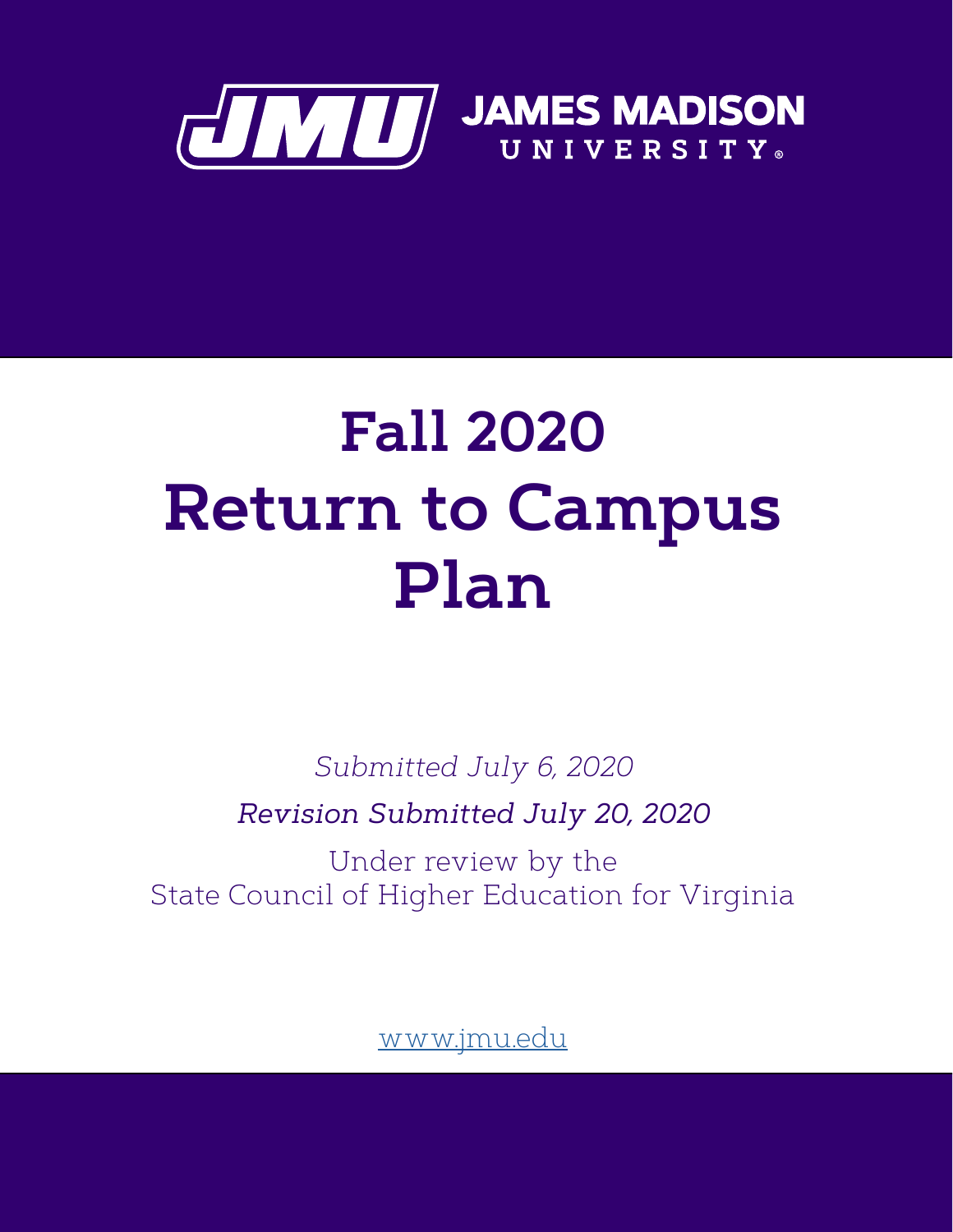

# **Fall 2020 Return to Campus Plan**

*Submitted July 6, 2020 Revision Submitted July 20, 2020*

Under review by the State Council of Higher Education for Virginia

www.jmu.edu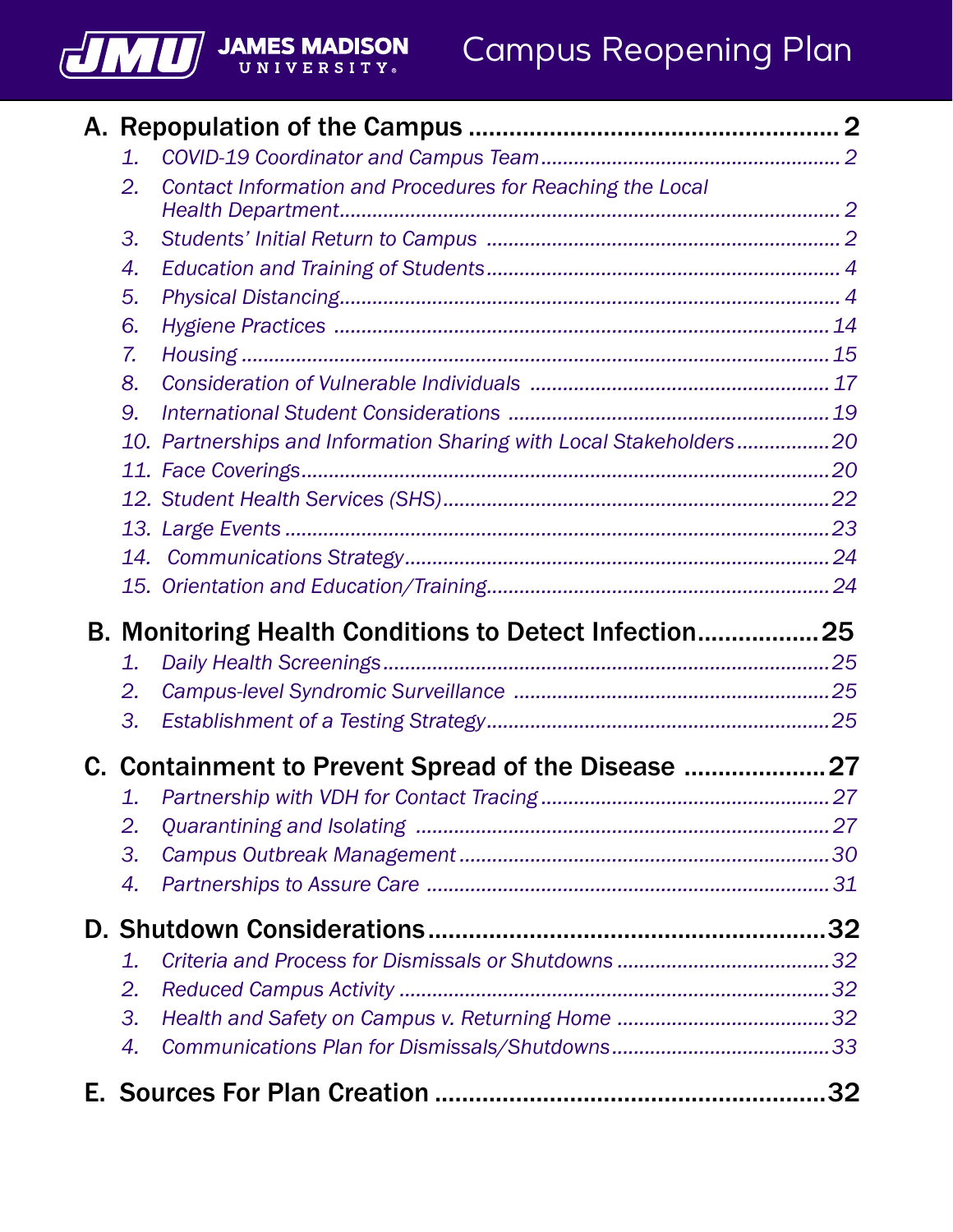## Campus Reopening Plan

| 1. |                                                                    |  |  |  |
|----|--------------------------------------------------------------------|--|--|--|
| 2. | Contact Information and Procedures for Reaching the Local          |  |  |  |
| 3. |                                                                    |  |  |  |
| 4. |                                                                    |  |  |  |
| 5. |                                                                    |  |  |  |
| 6. |                                                                    |  |  |  |
| 7. |                                                                    |  |  |  |
| 8. |                                                                    |  |  |  |
| 9. |                                                                    |  |  |  |
|    | 10. Partnerships and Information Sharing with Local Stakeholders20 |  |  |  |
|    |                                                                    |  |  |  |
|    |                                                                    |  |  |  |
|    |                                                                    |  |  |  |
|    |                                                                    |  |  |  |
|    |                                                                    |  |  |  |
|    |                                                                    |  |  |  |
|    | B. Monitoring Health Conditions to Detect Infection25              |  |  |  |
| 1. |                                                                    |  |  |  |
| 2. |                                                                    |  |  |  |
| 3. |                                                                    |  |  |  |
|    |                                                                    |  |  |  |
|    | C. Containment to Prevent Spread of the Disease  27                |  |  |  |
| 2. |                                                                    |  |  |  |
| 3. |                                                                    |  |  |  |
| 4. |                                                                    |  |  |  |
|    |                                                                    |  |  |  |
| 1. |                                                                    |  |  |  |
| 2. |                                                                    |  |  |  |
| 3. |                                                                    |  |  |  |
| 4. |                                                                    |  |  |  |

JMU

**JAMES MADISON**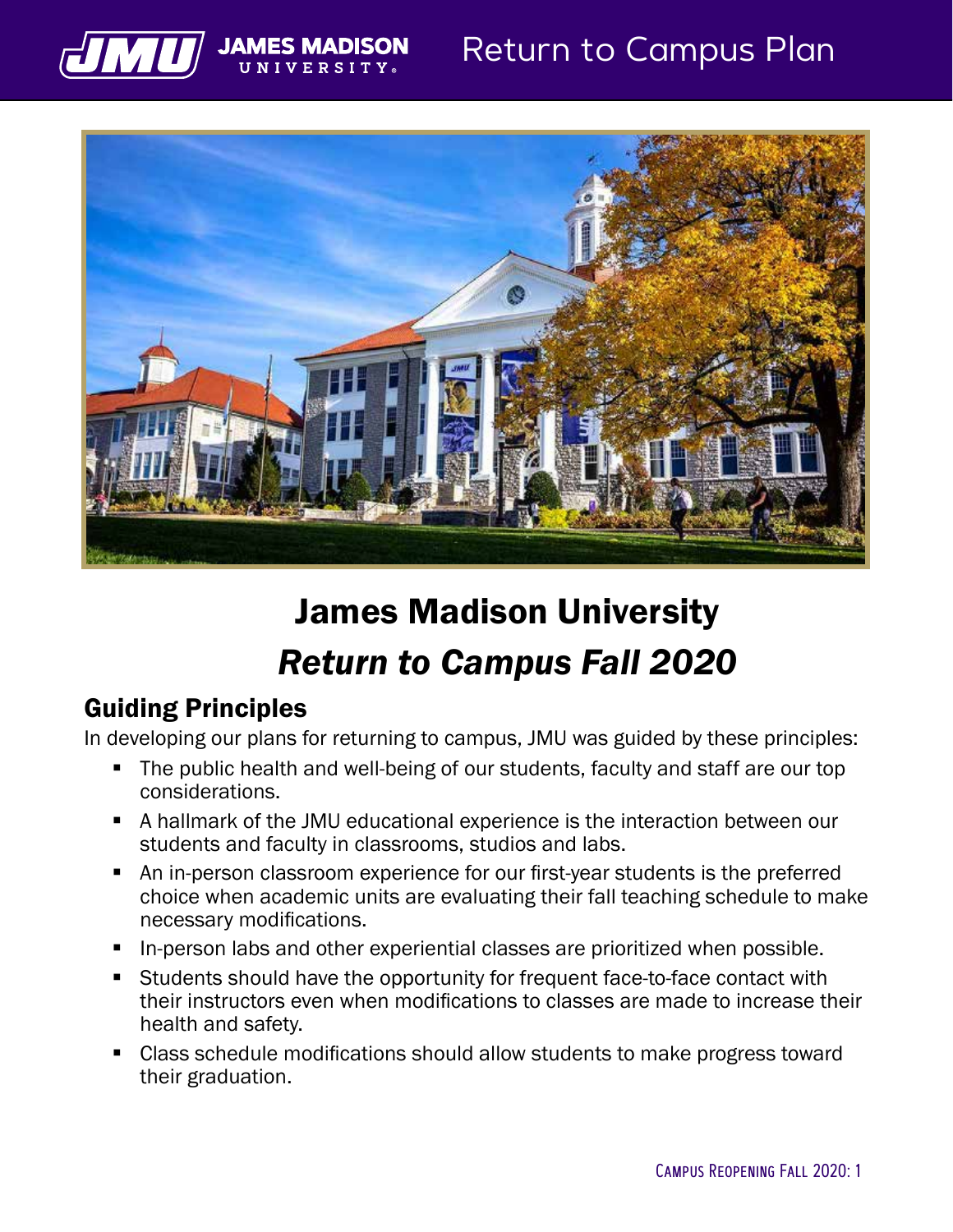

## Return to Campus Plan



## James Madison University *Return to Campus Fall 2020*

## Guiding Principles

In developing our plans for returning to campus, JMU was guided by these principles:

- The public health and well-being of our students, faculty and staff are our top considerations.
- A hallmark of the JMU educational experience is the interaction between our students and faculty in classrooms, studios and labs.
- An in-person classroom experience for our first-year students is the preferred choice when academic units are evaluating their fall teaching schedule to make necessary modifications.
- In-person labs and other experiential classes are prioritized when possible.
- Students should have the opportunity for frequent face-to-face contact with their instructors even when modifications to classes are made to increase their health and safety.
- Class schedule modifications should allow students to make progress toward their graduation.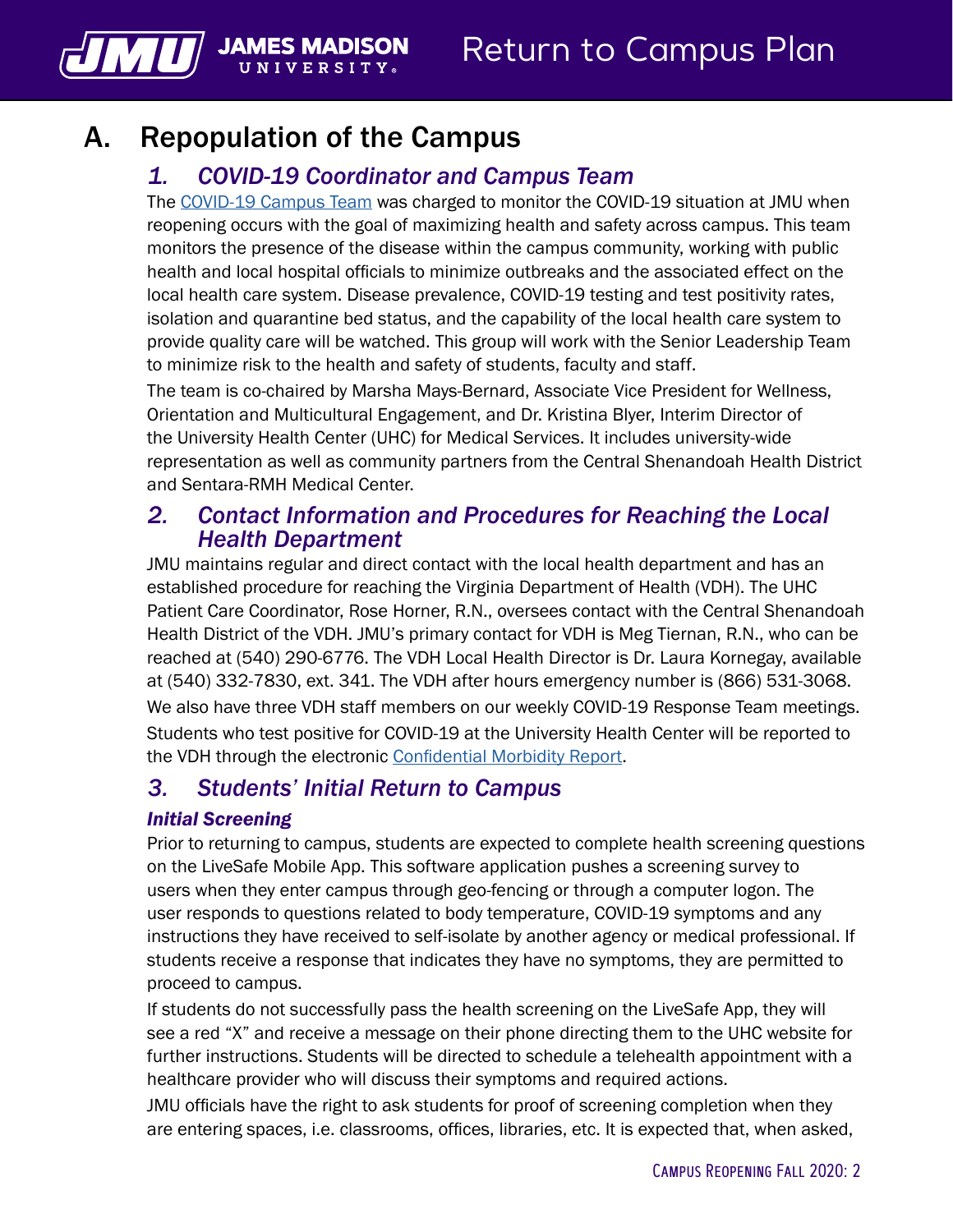## A. Repopulation of the Campus

**JAMES MADISON** 

UNIVERSIT

<span id="page-3-0"></span>MU

## *1. COVID-19 Coordinator and Campus Team*

The [COVID-19 Campus Team](https://www.jmu.edu/academic-affairs/committees-and-taskforces/CCT.shtml) was charged to monitor the COVID-19 situation at JMU when reopening occurs with the goal of maximizing health and safety across campus. This team monitors the presence of the disease within the campus community, working with public health and local hospital officials to minimize outbreaks and the associated effect on the local health care system. Disease prevalence, COVID-19 testing and test positivity rates, isolation and quarantine bed status, and the capability of the local health care system to provide quality care will be watched. This group will work with the Senior Leadership Team to minimize risk to the health and safety of students, faculty and staff.

The team is co-chaired by Marsha Mays-Bernard, Associate Vice President for Wellness, Orientation and Multicultural Engagement, and Dr. Kristina Blyer, Interim Director of the University Health Center (UHC) for Medical Services. It includes university-wide representation as well as community partners from the Central Shenandoah Health District and Sentara-RMH Medical Center.

## *2. Contact Information and Procedures for Reaching the Local Health Department*

JMU maintains regular and direct contact with the local health department and has an established procedure for reaching the Virginia Department of Health (VDH). The UHC Patient Care Coordinator, Rose Horner, R.N., oversees contact with the Central Shenandoah Health District of the VDH. JMU's primary contact for VDH is Meg Tiernan, R.N., who can be reached at (540) 290-6776. The VDH Local Health Director is Dr. Laura Kornegay, available at (540) 332-7830, ext. 341. The VDH after hours emergency number is (866) 531-3068. We also have three VDH staff members on our weekly COVID-19 Response Team meetings. Students who test positive for COVID-19 at the University Health Center will be reported to the VDH through the electronic [Confidential Morbidity Report](https://redcap.vdh.virginia.gov/redcap/surveys/?s=NYKYR7W47M.).

## *3. Students' Initial Return to Campus*

#### *Initial Screening*

Prior to returning to campus, students are expected to complete health screening questions on the LiveSafe Mobile App. This software application pushes a screening survey to users when they enter campus through geo-fencing or through a computer logon. The user responds to questions related to body temperature, COVID-19 symptoms and any instructions they have received to self-isolate by another agency or medical professional. If students receive a response that indicates they have no symptoms, they are permitted to proceed to campus.

If students do not successfully pass the health screening on the LiveSafe App, they will see a red "X" and receive a message on their phone directing them to the UHC website for further instructions. Students will be directed to schedule a telehealth appointment with a healthcare provider who will discuss their symptoms and required actions.

JMU officials have the right to ask students for proof of screening completion when they are entering spaces, i.e. classrooms, offices, libraries, etc. It is expected that, when asked,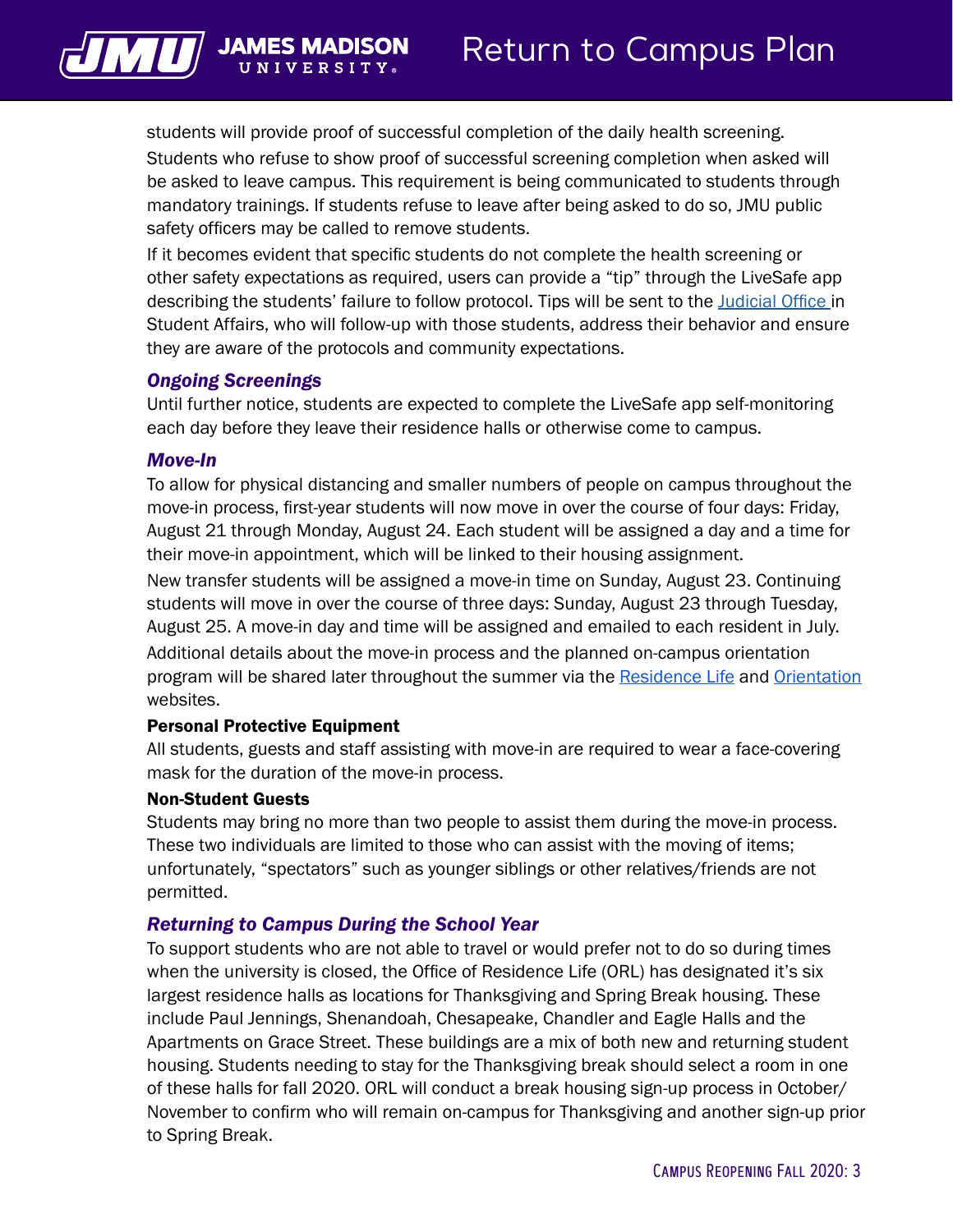

students will provide proof of successful completion of the daily health screening. Students who refuse to show proof of successful screening completion when asked will be asked to leave campus. This requirement is being communicated to students through mandatory trainings. If students refuse to leave after being asked to do so, JMU public safety officers may be called to remove students.

If it becomes evident that specific students do not complete the health screening or other safety expectations as required, users can provide a "tip" through the LiveSafe app describing the students' failure to follow protocol. Tips will be sent to the [Judicial Office](https://www.jmu.edu/osarp/) in Student Affairs, who will follow-up with those students, address their behavior and ensure they are aware of the protocols and community expectations.

#### *Ongoing Screenings*

Until further notice, students are expected to complete the LiveSafe app self-monitoring each day before they leave their residence halls or otherwise come to campus.

#### *Move-In*

To allow for physical distancing and smaller numbers of people on campus throughout the move-in process, first-year students will now move in over the course of four days: Friday, August 21 through Monday, August 24. Each student will be assigned a day and a time for their move-in appointment, which will be linked to their housing assignment.

New transfer students will be assigned a move-in time on Sunday, August 23. Continuing students will move in over the course of three days: Sunday, August 23 through Tuesday, August 25. A move-in day and time will be assigned and emailed to each resident in July. Additional details about the move-in process and the planned on-campus orientation program will be shared later throughout the summer via the [Residence Life](https://www.jmu.edu/orl/) and [Orientation](https://www.jmu.edu/orientation/) websites.

#### Personal Protective Equipment

All students, guests and staff assisting with move-in are required to wear a face-covering mask for the duration of the move-in process.

#### Non-Student Guests

Students may bring no more than two people to assist them during the move-in process. These two individuals are limited to those who can assist with the moving of items; unfortunately, "spectators" such as younger siblings or other relatives/friends are not permitted.

#### *Returning to Campus During the School Year*

To support students who are not able to travel or would prefer not to do so during times when the university is closed, the Office of Residence Life (ORL) has designated it's six largest residence halls as locations for Thanksgiving and Spring Break housing. These include Paul Jennings, Shenandoah, Chesapeake, Chandler and Eagle Halls and the Apartments on Grace Street. These buildings are a mix of both new and returning student housing. Students needing to stay for the Thanksgiving break should select a room in one of these halls for fall 2020. ORL will conduct a break housing sign-up process in October/ November to confirm who will remain on-campus for Thanksgiving and another sign-up prior to Spring Break.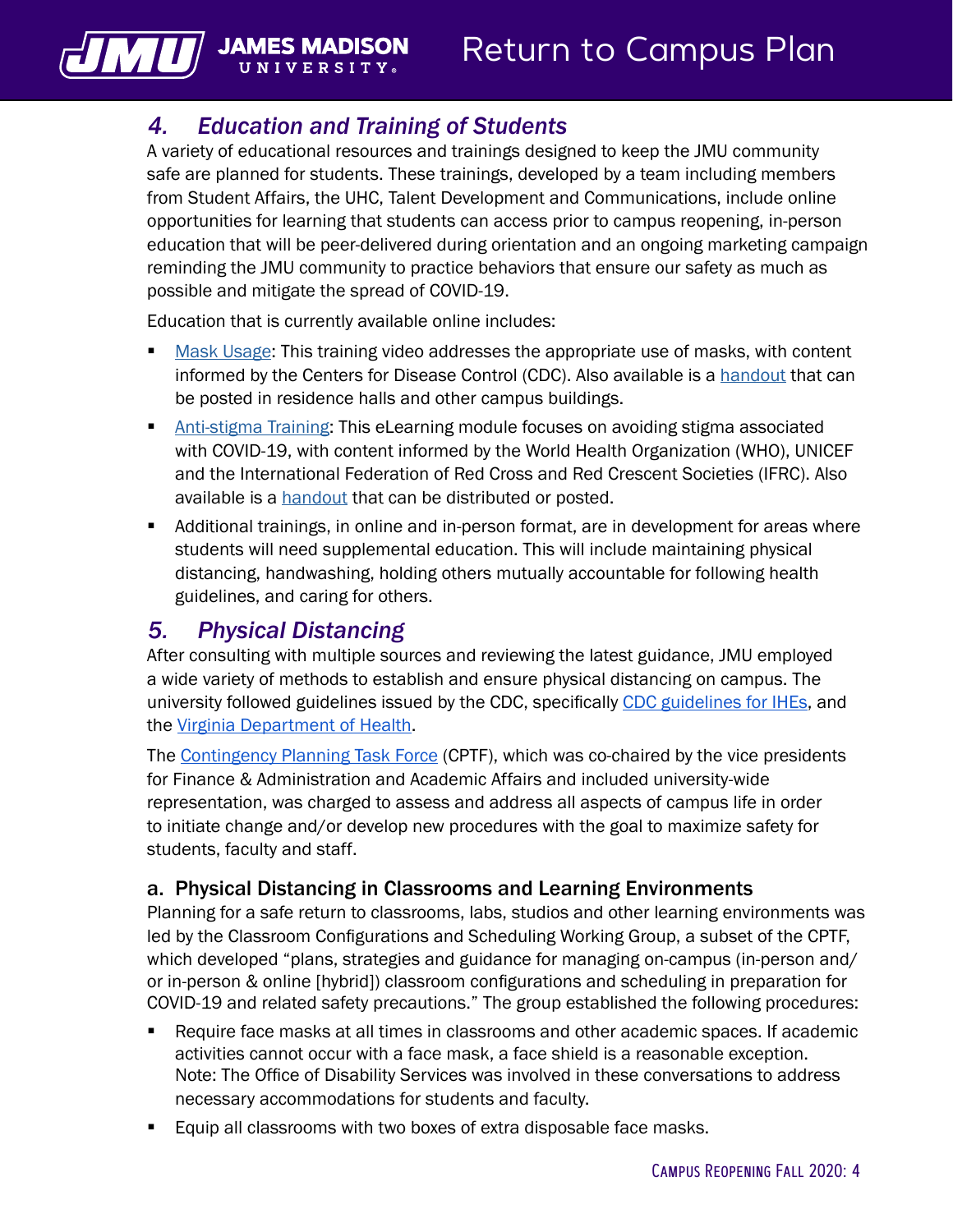## *4. Education and Training of Students*

UNIVERSIT

<span id="page-5-0"></span>**VILL** JAMES N

A variety of educational resources and trainings designed to keep the JMU community safe are planned for students. These trainings, developed by a team including members from Student Affairs, the UHC, Talent Development and Communications, include online opportunities for learning that students can access prior to campus reopening, in-person education that will be peer-delivered during orientation and an ongoing marketing campaign reminding the JMU community to practice behaviors that ensure our safety as much as possible and mitigate the spread of COVID-19.

Education that is currently available online includes:

- [Mask Usage](https://www.youtube.com/watch?v=Yc_yKQryMIQ&feature=youtu.be): This training video addresses the appropriate use of masks, with content informed by the Centers for Disease Control (CDC). Also available is a [handout](https://www.jmu.edu/talentdevelopment/_files/CDC-cloth-face-covering-instructions.pdf) that can be posted in residence halls and other campus buildings.
- [Anti-stigma Training:](https://www.jmu.edu/talentdevelopment/covid-19-training-avoid-stigma/) This eLearning module focuses on avoiding stigma associated with COVID-19, with content informed by the World Health Organization (WHO), UNICEF and the International Federation of Red Cross and Red Crescent Societies (IFRC). Also available is a [handout](https://www.jmu.edu/talentdevelopment/_files/WHO-covid19-stigma-guide.pdf) that can be distributed or posted.
- Additional trainings, in online and in-person format, are in development for areas where students will need supplemental education. This will include maintaining physical distancing, handwashing, holding others mutually accountable for following health guidelines, and caring for others.

## *5. Physical Distancing*

After consulting with multiple sources and reviewing the latest guidance, JMU employed a wide variety of methods to establish and ensure physical distancing on campus. The university followed guidelines issued by the CDC, specifically [CDC guidelines for IHEs](https://www.cdc.gov/coronavirus/2019-ncov/community/colleges-universities/considerations.html), and the [Virginia Department of Health](https://www.vdh.virginia.gov/coronavirus/prevention-tips/).

The [Contingency Planning Task Force](https://www.jmu.edu/academic-affairs/committees-and-taskforces/CPTF.shtml) (CPTF), which was co-chaired by the vice presidents for Finance & Administration and Academic Affairs and included university-wide representation, was charged to assess and address all aspects of campus life in order to initiate change and/or develop new procedures with the goal to maximize safety for students, faculty and staff.

#### a. Physical Distancing in Classrooms and Learning Environments

Planning for a safe return to classrooms, labs, studios and other learning environments was led by the Classroom Configurations and Scheduling Working Group, a subset of the CPTF, which developed "plans, strategies and guidance for managing on-campus (in-person and/ or in-person & online [hybrid]) classroom configurations and scheduling in preparation for COVID-19 and related safety precautions." The group established the following procedures:

- Require face masks at all times in classrooms and other academic spaces. If academic activities cannot occur with a face mask, a face shield is a reasonable exception. Note: The Office of Disability Services was involved in these conversations to address necessary accommodations for students and faculty.
- Equip all classrooms with two boxes of extra disposable face masks.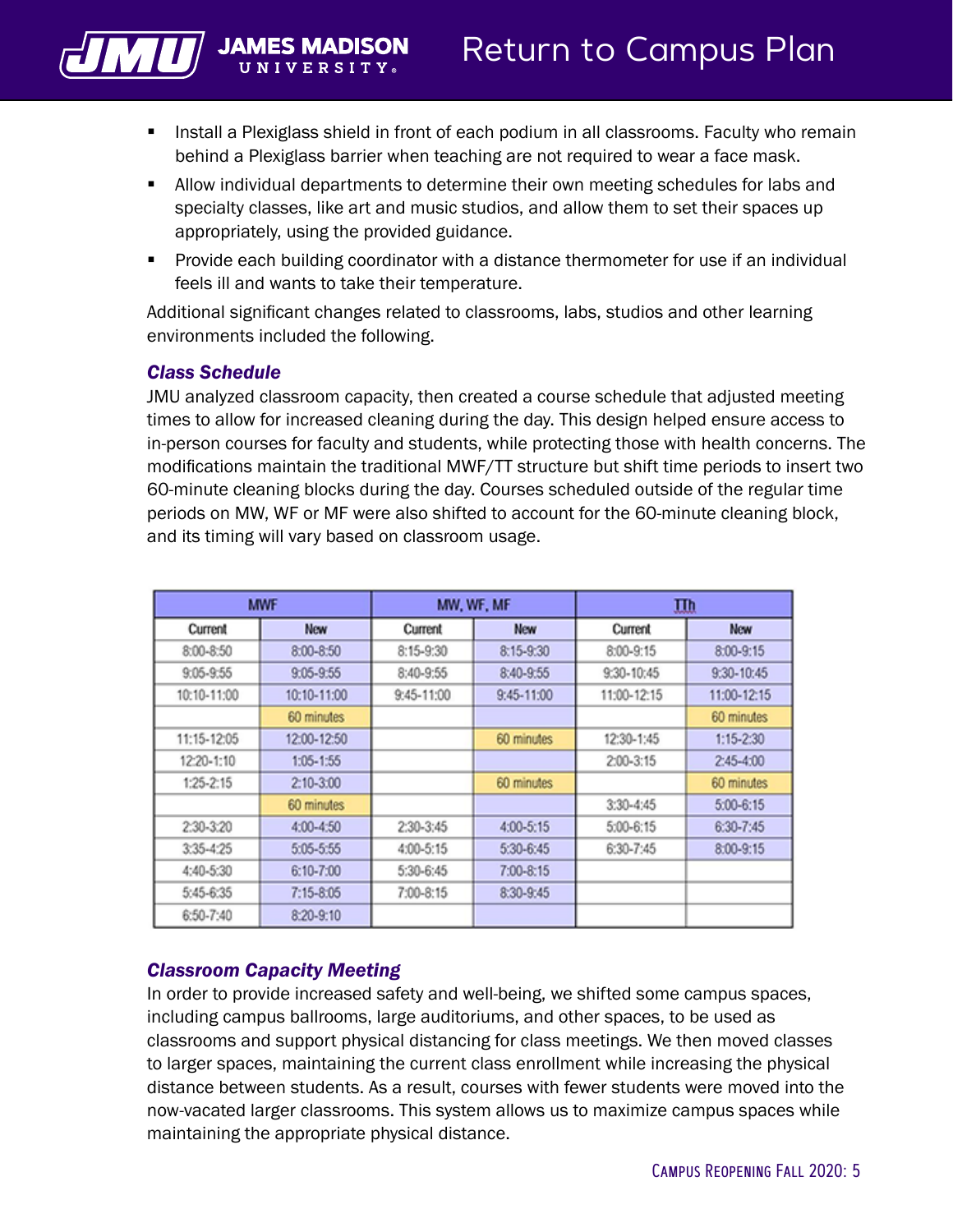

- **I.** Install a Plexiglass shield in front of each podium in all classrooms. Faculty who remain behind a Plexiglass barrier when teaching are not required to wear a face mask.
- Allow individual departments to determine their own meeting schedules for labs and specialty classes, like art and music studios, and allow them to set their spaces up appropriately, using the provided guidance.
- Provide each building coordinator with a distance thermometer for use if an individual feels ill and wants to take their temperature.

Additional significant changes related to classrooms, labs, studios and other learning environments included the following.

#### *Class Schedule*

JMU analyzed classroom capacity, then created a course schedule that adjusted meeting times to allow for increased cleaning during the day. This design helped ensure access to in-person courses for faculty and students, while protecting those with health concerns. The modifications maintain the traditional MWF/TT structure but shift time periods to insert two 60-minute cleaning blocks during the day. Courses scheduled outside of the regular time periods on MW, WF or MF were also shifted to account for the 60-minute cleaning block, and its timing will vary based on classroom usage.

|               | <b>MWF</b>    | MW, WF, MF    |               | 皿             |               |
|---------------|---------------|---------------|---------------|---------------|---------------|
| Current       | <b>New</b>    | Current       | <b>New</b>    | Current       | <b>New</b>    |
| $8:00 - 8:50$ | 8:00-8:50     | $8:15 - 9:30$ | 8:15-9:30     | 8:00-9:15     | $8:00 - 9:15$ |
| $9:05 - 9:55$ | $9:05 - 9:55$ | 8:40-9:55     | 8:40-9:55     | 9:30-10:45    | 9:30-10:45    |
| 10:10-11:00   | 10:10-11:00   | 9:45-11:00    | 9:45-11:00    | 11:00-12:15   | 11:00-12:15   |
|               | 60 minutes    |               |               |               | 60 minutes    |
| 11:15-12:05   | 12:00-12:50   |               | 60 minutes    | 12:30-1:45    | $1:15 - 2:30$ |
| 12:20-1:10    | 1:05-1:55     |               |               | $2:00 - 3:15$ | $2:45 - 4:00$ |
| $1:25 - 2:15$ | $2:10-3:00$   |               | 60 minutes    |               | 60 minutes    |
|               | 60 minutes    |               |               | $3:30 - 4:45$ | $5:00 - 6:15$ |
| 2:30-3:20     | 4:00-4:50     | 2:30-3:45     | 4:00-5:15     | $5:00-6:15$   | 6:30-7:45     |
| 3:35-4:25     | 5:05-5:55     | 4:00-5:15     | 5:30-6:45     | 6:30-7:45     | 8:00-9:15     |
| 4:40-5:30     | 6:10-7:00     | 5:30-6:45     | $7:00 - 8:15$ |               |               |
| 5:45-6:35     | $7:15 - 8:05$ | 7:00-8:15     | 8:30-9:45     |               |               |
| 6:50-7:40     | 8:20-9:10     |               |               |               |               |

#### *Classroom Capacity Meeting*

In order to provide increased safety and well-being, we shifted some campus spaces, including campus ballrooms, large auditoriums, and other spaces, to be used as classrooms and support physical distancing for class meetings. We then moved classes to larger spaces, maintaining the current class enrollment while increasing the physical distance between students. As a result, courses with fewer students were moved into the now-vacated larger classrooms. This system allows us to maximize campus spaces while maintaining the appropriate physical distance.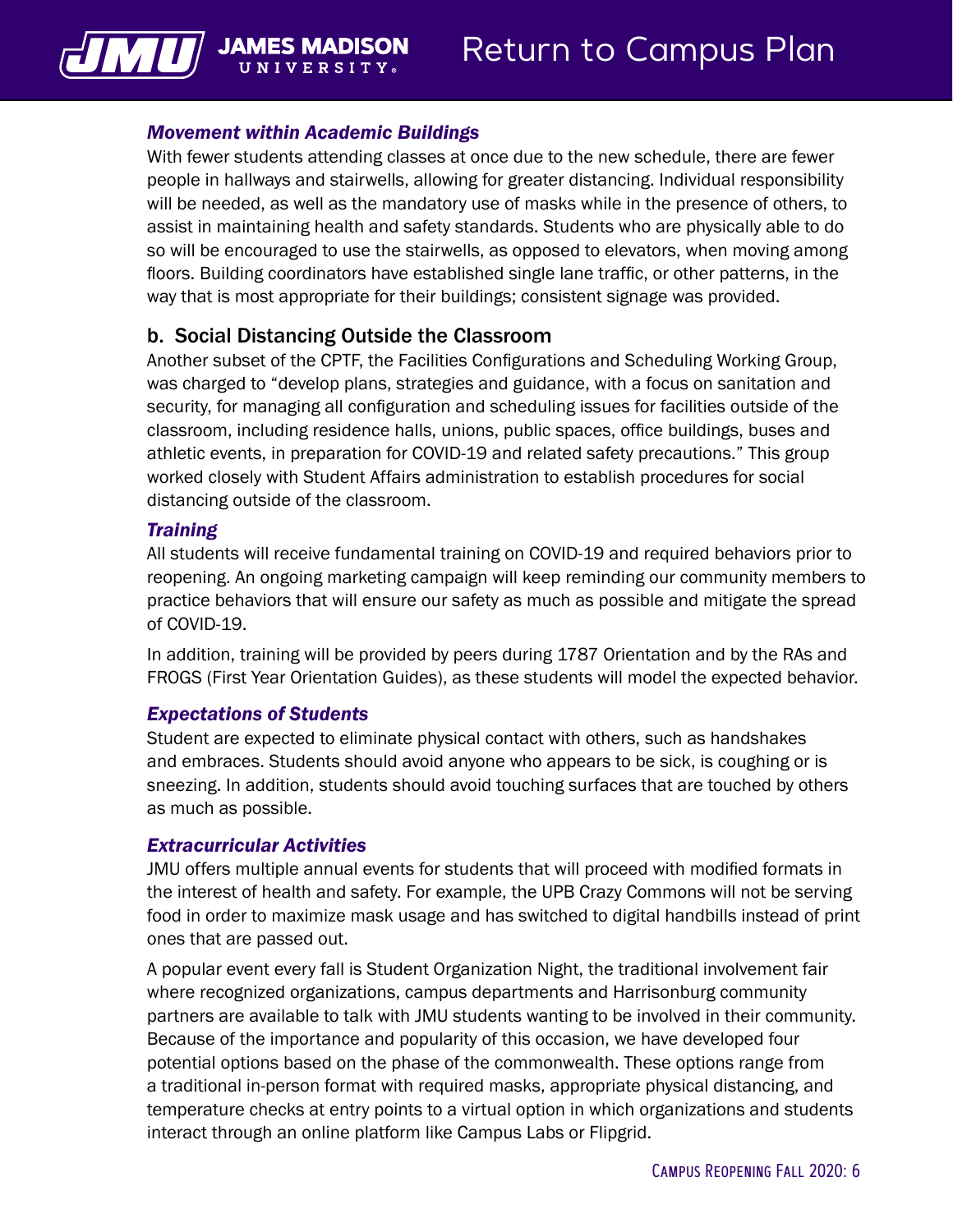#### *Movement within Academic Buildings*

**II N I V F R S I T** 

 $\sqrt{||\mathbf{u}||}$  JAMES MAD

With fewer students attending classes at once due to the new schedule, there are fewer people in hallways and stairwells, allowing for greater distancing. Individual responsibility will be needed, as well as the mandatory use of masks while in the presence of others, to assist in maintaining health and safety standards. Students who are physically able to do so will be encouraged to use the stairwells, as opposed to elevators, when moving among floors. Building coordinators have established single lane traffic, or other patterns, in the way that is most appropriate for their buildings; consistent signage was provided.

#### b. Social Distancing Outside the Classroom

Another subset of the CPTF, the Facilities Configurations and Scheduling Working Group, was charged to "develop plans, strategies and guidance, with a focus on sanitation and security, for managing all configuration and scheduling issues for facilities outside of the classroom, including residence halls, unions, public spaces, office buildings, buses and athletic events, in preparation for COVID-19 and related safety precautions." This group worked closely with Student Affairs administration to establish procedures for social distancing outside of the classroom.

#### *Training*

All students will receive fundamental training on COVID-19 and required behaviors prior to reopening. An ongoing marketing campaign will keep reminding our community members to practice behaviors that will ensure our safety as much as possible and mitigate the spread of COVID-19.

In addition, training will be provided by peers during 1787 Orientation and by the RAs and FROGS (First Year Orientation Guides), as these students will model the expected behavior.

#### *Expectations of Students*

Student are expected to eliminate physical contact with others, such as handshakes and embraces. Students should avoid anyone who appears to be sick, is coughing or is sneezing. In addition, students should avoid touching surfaces that are touched by others as much as possible.

#### *Extracurricular Activities*

JMU offers multiple annual events for students that will proceed with modified formats in the interest of health and safety. For example, the UPB Crazy Commons will not be serving food in order to maximize mask usage and has switched to digital handbills instead of print ones that are passed out.

A popular event every fall is Student Organization Night, the traditional involvement fair where recognized organizations, campus departments and Harrisonburg community partners are available to talk with JMU students wanting to be involved in their community. Because of the importance and popularity of this occasion, we have developed four potential options based on the phase of the commonwealth. These options range from a traditional in-person format with required masks, appropriate physical distancing, and temperature checks at entry points to a virtual option in which organizations and students interact through an online platform like Campus Labs or Flipgrid.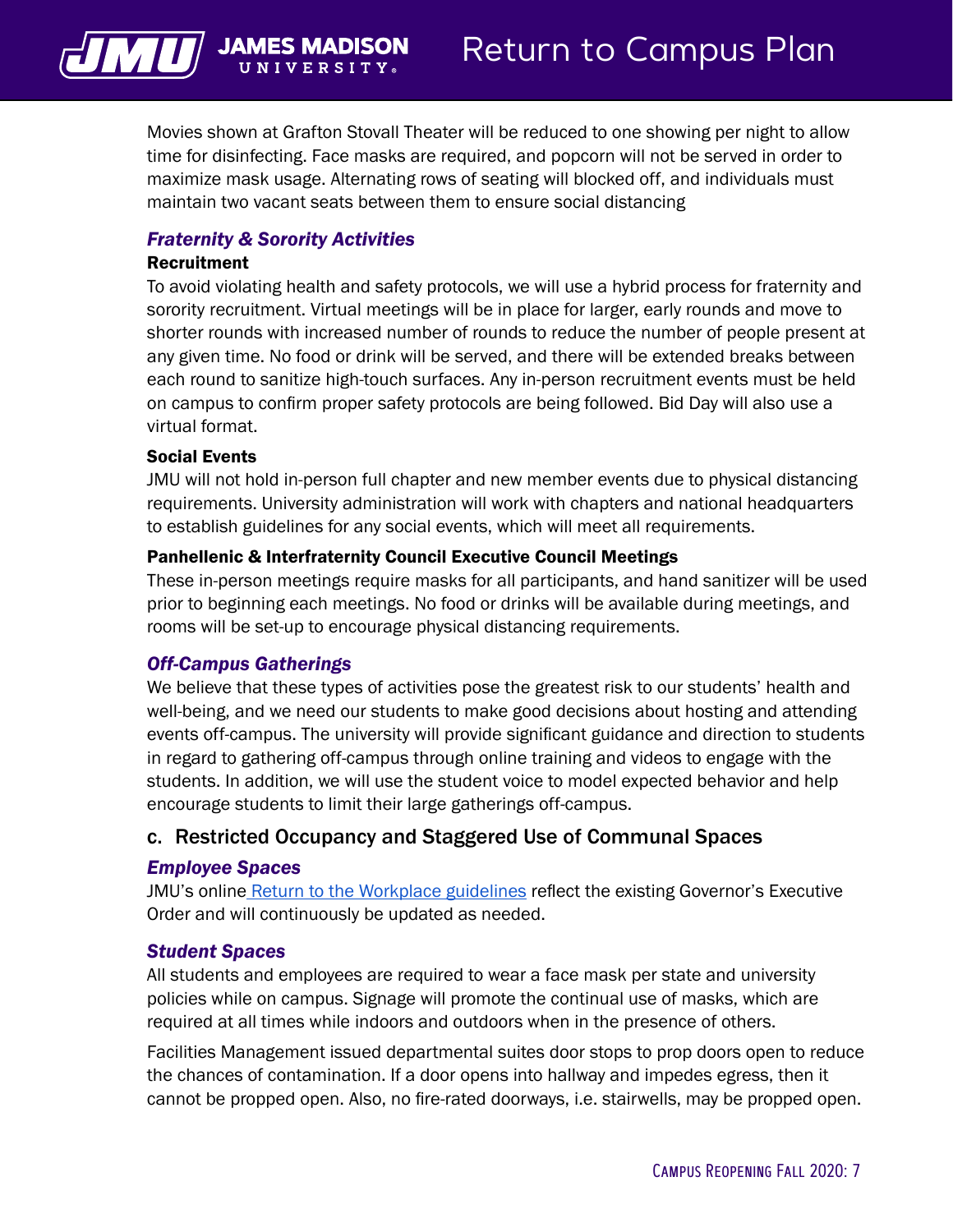

Movies shown at Grafton Stovall Theater will be reduced to one showing per night to allow time for disinfecting. Face masks are required, and popcorn will not be served in order to maximize mask usage. Alternating rows of seating will blocked off, and individuals must maintain two vacant seats between them to ensure social distancing

#### *Fraternity & Sorority Activities*

#### Recruitment

To avoid violating health and safety protocols, we will use a hybrid process for fraternity and sorority recruitment. Virtual meetings will be in place for larger, early rounds and move to shorter rounds with increased number of rounds to reduce the number of people present at any given time. No food or drink will be served, and there will be extended breaks between each round to sanitize high-touch surfaces. Any in-person recruitment events must be held on campus to confirm proper safety protocols are being followed. Bid Day will also use a virtual format.

#### Social Events

JMU will not hold in-person full chapter and new member events due to physical distancing requirements. University administration will work with chapters and national headquarters to establish guidelines for any social events, which will meet all requirements.

#### Panhellenic & Interfraternity Council Executive Council Meetings

These in-person meetings require masks for all participants, and hand sanitizer will be used prior to beginning each meetings. No food or drinks will be available during meetings, and rooms will be set-up to encourage physical distancing requirements.

#### *Off-Campus Gatherings*

We believe that these types of activities pose the greatest risk to our students' health and well-being, and we need our students to make good decisions about hosting and attending events off-campus. The university will provide significant guidance and direction to students in regard to gathering off-campus through online training and videos to engage with the students. In addition, we will use the student voice to model expected behavior and help encourage students to limit their large gatherings off-campus.

#### c. Restricted Occupancy and Staggered Use of Communal Spaces

#### *Employee Spaces*

[JMU's online Return to the Workplace guidelines](https://www.jmu.edu/news/2020/05/29-covid-return-guidelines.shtml) reflect the existing Governor's Executive Order and will continuously be updated as needed.

#### *Student Spaces*

All students and employees are required to wear a face mask per state and university policies while on campus. Signage will promote the continual use of masks, which are required at all times while indoors and outdoors when in the presence of others.

Facilities Management issued departmental suites door stops to prop doors open to reduce the chances of contamination. If a door opens into hallway and impedes egress, then it cannot be propped open. Also, no fire-rated doorways, i.e. stairwells, may be propped open.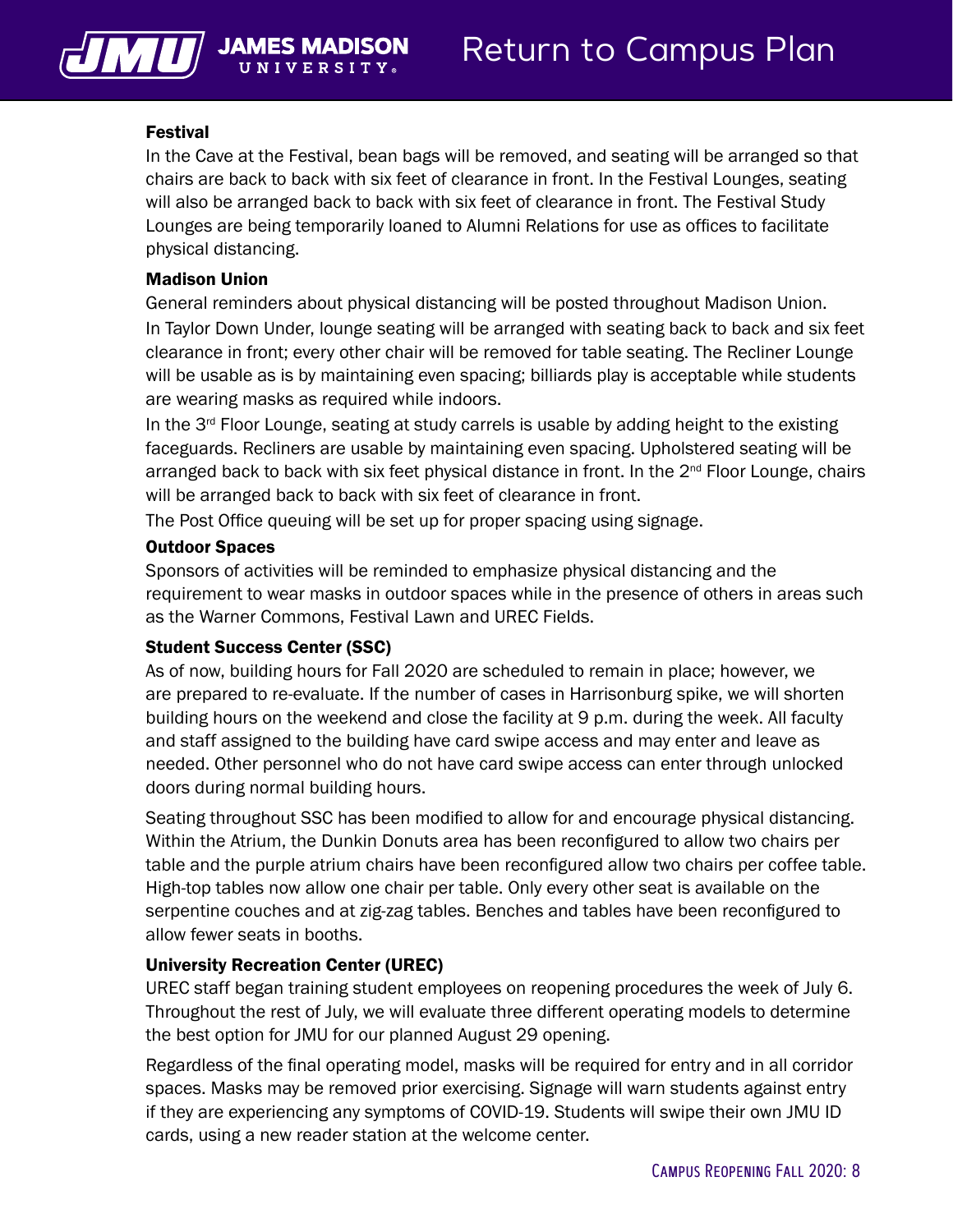

#### Festival

In the Cave at the Festival, bean bags will be removed, and seating will be arranged so that chairs are back to back with six feet of clearance in front. In the Festival Lounges, seating will also be arranged back to back with six feet of clearance in front. The Festival Study Lounges are being temporarily loaned to Alumni Relations for use as offices to facilitate physical distancing.

#### Madison Union

General reminders about physical distancing will be posted throughout Madison Union. In Taylor Down Under, lounge seating will be arranged with seating back to back and six feet clearance in front; every other chair will be removed for table seating. The Recliner Lounge will be usable as is by maintaining even spacing; billiards play is acceptable while students are wearing masks as required while indoors.

In the  $3<sup>rd</sup>$  Floor Lounge, seating at study carrels is usable by adding height to the existing faceguards. Recliners are usable by maintaining even spacing. Upholstered seating will be arranged back to back with six feet physical distance in front. In the 2<sup>nd</sup> Floor Lounge, chairs will be arranged back to back with six feet of clearance in front.

The Post Office queuing will be set up for proper spacing using signage.

#### Outdoor Spaces

Sponsors of activities will be reminded to emphasize physical distancing and the requirement to wear masks in outdoor spaces while in the presence of others in areas such as the Warner Commons, Festival Lawn and UREC Fields.

#### Student Success Center (SSC)

As of now, building hours for Fall 2020 are scheduled to remain in place; however, we are prepared to re-evaluate. If the number of cases in Harrisonburg spike, we will shorten building hours on the weekend and close the facility at 9 p.m. during the week. All faculty and staff assigned to the building have card swipe access and may enter and leave as needed. Other personnel who do not have card swipe access can enter through unlocked doors during normal building hours.

Seating throughout SSC has been modified to allow for and encourage physical distancing. Within the Atrium, the Dunkin Donuts area has been reconfigured to allow two chairs per table and the purple atrium chairs have been reconfigured allow two chairs per coffee table. High-top tables now allow one chair per table. Only every other seat is available on the serpentine couches and at zig-zag tables. Benches and tables have been reconfigured to allow fewer seats in booths.

#### University Recreation Center (UREC)

UREC staff began training student employees on reopening procedures the week of July 6. Throughout the rest of July, we will evaluate three different operating models to determine the best option for JMU for our planned August 29 opening.

Regardless of the final operating model, masks will be required for entry and in all corridor spaces. Masks may be removed prior exercising. Signage will warn students against entry if they are experiencing any symptoms of COVID-19. Students will swipe their own JMU ID cards, using a new reader station at the welcome center.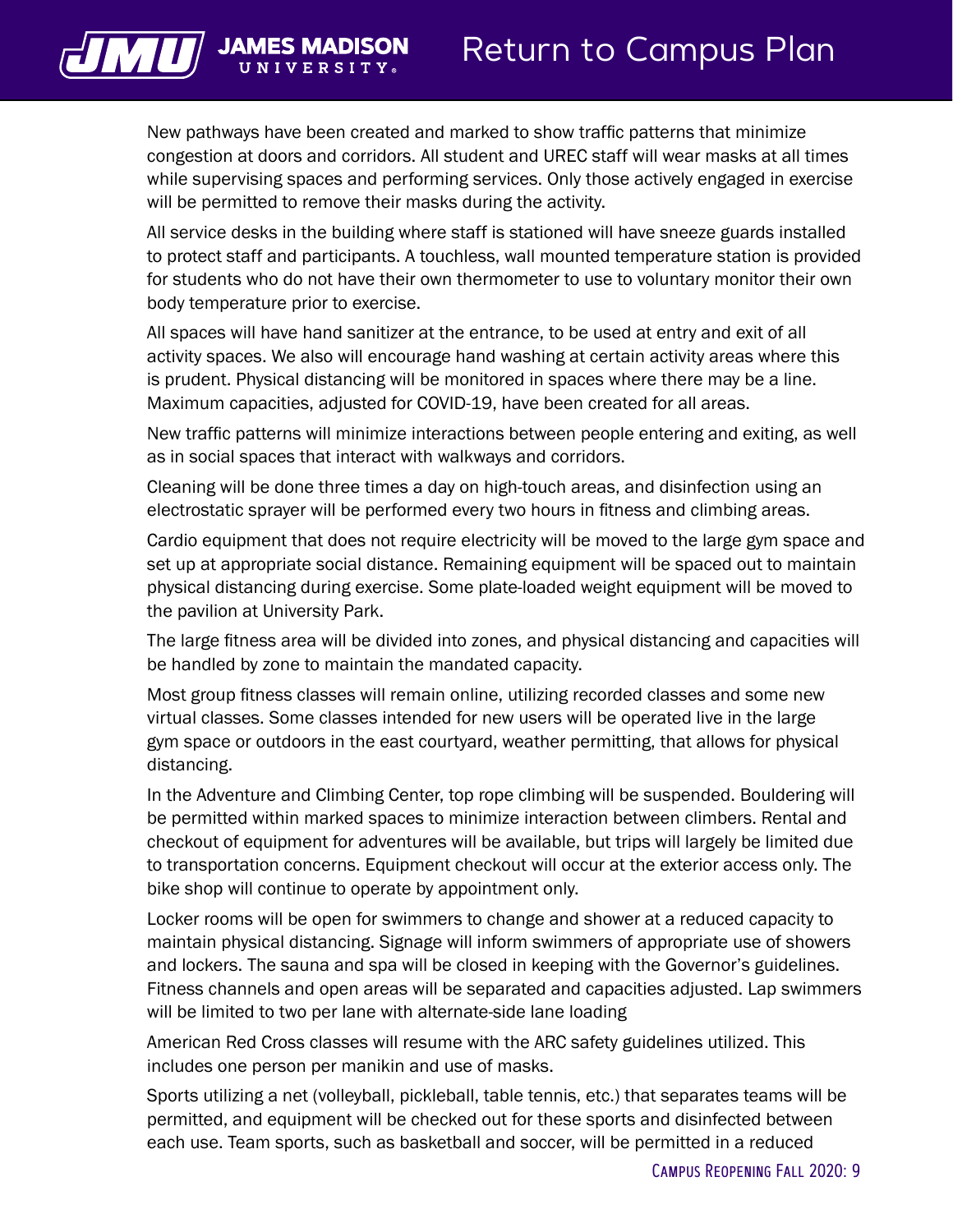

New pathways have been created and marked to show traffic patterns that minimize congestion at doors and corridors. All student and UREC staff will wear masks at all times while supervising spaces and performing services. Only those actively engaged in exercise will be permitted to remove their masks during the activity.

All service desks in the building where staff is stationed will have sneeze guards installed to protect staff and participants. A touchless, wall mounted temperature station is provided for students who do not have their own thermometer to use to voluntary monitor their own body temperature prior to exercise.

All spaces will have hand sanitizer at the entrance, to be used at entry and exit of all activity spaces. We also will encourage hand washing at certain activity areas where this is prudent. Physical distancing will be monitored in spaces where there may be a line. Maximum capacities, adjusted for COVID-19, have been created for all areas.

New traffic patterns will minimize interactions between people entering and exiting, as well as in social spaces that interact with walkways and corridors.

Cleaning will be done three times a day on high-touch areas, and disinfection using an electrostatic sprayer will be performed every two hours in fitness and climbing areas.

Cardio equipment that does not require electricity will be moved to the large gym space and set up at appropriate social distance. Remaining equipment will be spaced out to maintain physical distancing during exercise. Some plate-loaded weight equipment will be moved to the pavilion at University Park.

The large fitness area will be divided into zones, and physical distancing and capacities will be handled by zone to maintain the mandated capacity.

Most group fitness classes will remain online, utilizing recorded classes and some new virtual classes. Some classes intended for new users will be operated live in the large gym space or outdoors in the east courtyard, weather permitting, that allows for physical distancing.

In the Adventure and Climbing Center, top rope climbing will be suspended. Bouldering will be permitted within marked spaces to minimize interaction between climbers. Rental and checkout of equipment for adventures will be available, but trips will largely be limited due to transportation concerns. Equipment checkout will occur at the exterior access only. The bike shop will continue to operate by appointment only.

Locker rooms will be open for swimmers to change and shower at a reduced capacity to maintain physical distancing. Signage will inform swimmers of appropriate use of showers and lockers. The sauna and spa will be closed in keeping with the Governor's guidelines. Fitness channels and open areas will be separated and capacities adjusted. Lap swimmers will be limited to two per lane with alternate-side lane loading

American Red Cross classes will resume with the ARC safety guidelines utilized. This includes one person per manikin and use of masks.

Sports utilizing a net (volleyball, pickleball, table tennis, etc.) that separates teams will be permitted, and equipment will be checked out for these sports and disinfected between each use. Team sports, such as basketball and soccer, will be permitted in a reduced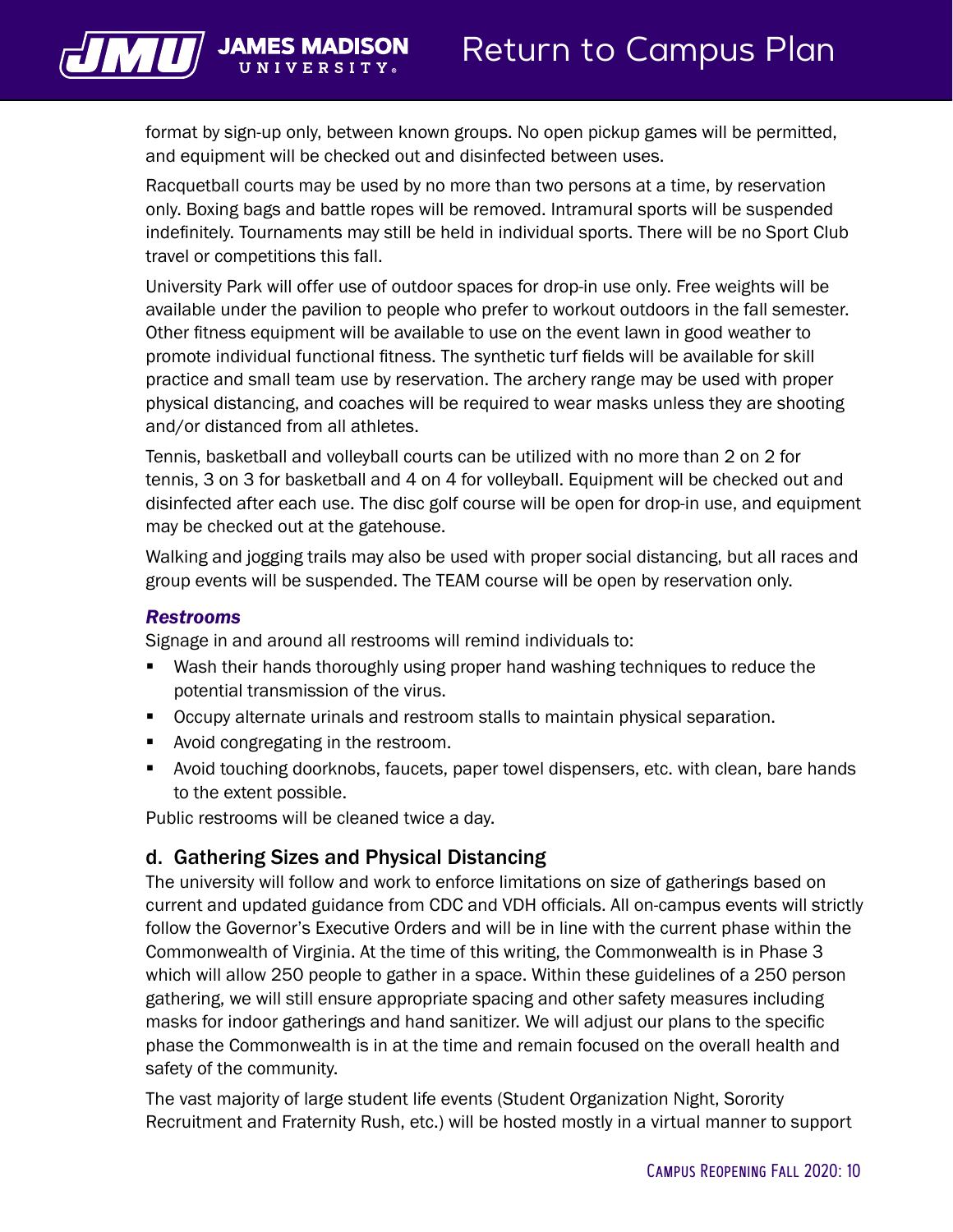$\sqrt{L}$  JAMES N

format by sign-up only, between known groups. No open pickup games will be permitted, and equipment will be checked out and disinfected between uses.

Racquetball courts may be used by no more than two persons at a time, by reservation only. Boxing bags and battle ropes will be removed. Intramural sports will be suspended indefinitely. Tournaments may still be held in individual sports. There will be no Sport Club travel or competitions this fall.

University Park will offer use of outdoor spaces for drop-in use only. Free weights will be available under the pavilion to people who prefer to workout outdoors in the fall semester. Other fitness equipment will be available to use on the event lawn in good weather to promote individual functional fitness. The synthetic turf fields will be available for skill practice and small team use by reservation. The archery range may be used with proper physical distancing, and coaches will be required to wear masks unless they are shooting and/or distanced from all athletes.

Tennis, basketball and volleyball courts can be utilized with no more than 2 on 2 for tennis, 3 on 3 for basketball and 4 on 4 for volleyball. Equipment will be checked out and disinfected after each use. The disc golf course will be open for drop-in use, and equipment may be checked out at the gatehouse.

Walking and jogging trails may also be used with proper social distancing, but all races and group events will be suspended. The TEAM course will be open by reservation only.

#### *Restrooms*

Signage in and around all restrooms will remind individuals to:

- Wash their hands thoroughly using proper hand washing techniques to reduce the potential transmission of the virus.
- **Occupy alternate urinals and restroom stalls to maintain physical separation.**
- Avoid congregating in the restroom.
- **•** Avoid touching doorknobs, faucets, paper towel dispensers, etc. with clean, bare hands to the extent possible.

Public restrooms will be cleaned twice a day.

#### d. Gathering Sizes and Physical Distancing

The university will follow and work to enforce limitations on size of gatherings based on current and updated guidance from CDC and VDH officials. All on-campus events will strictly follow the Governor's Executive Orders and will be in line with the current phase within the Commonwealth of Virginia. At the time of this writing, the Commonwealth is in Phase 3 which will allow 250 people to gather in a space. Within these guidelines of a 250 person gathering, we will still ensure appropriate spacing and other safety measures including masks for indoor gatherings and hand sanitizer. We will adjust our plans to the specific phase the Commonwealth is in at the time and remain focused on the overall health and safety of the community.

The vast majority of large student life events (Student Organization Night, Sorority Recruitment and Fraternity Rush, etc.) will be hosted mostly in a virtual manner to support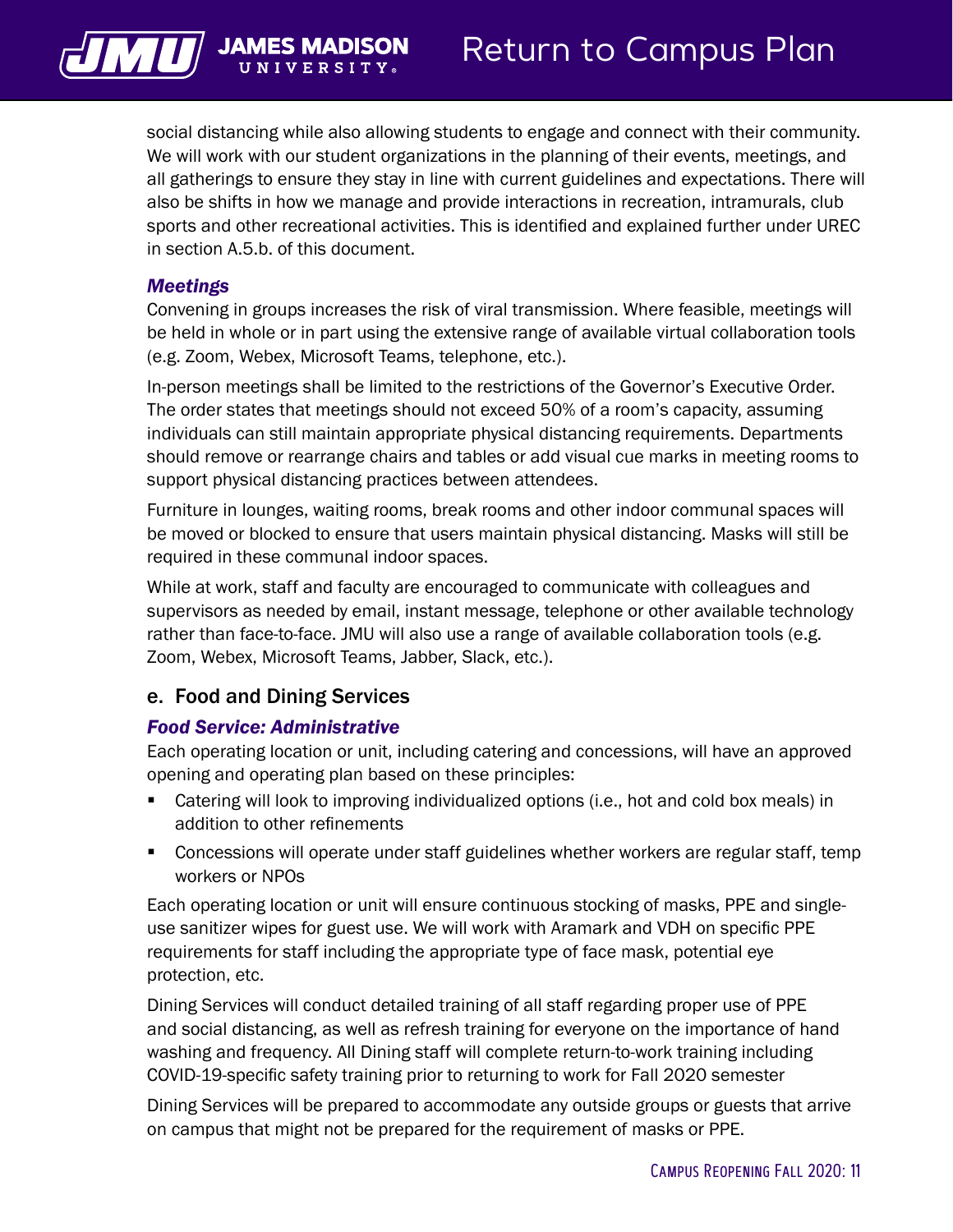

social distancing while also allowing students to engage and connect with their community. We will work with our student organizations in the planning of their events, meetings, and all gatherings to ensure they stay in line with current guidelines and expectations. There will also be shifts in how we manage and provide interactions in recreation, intramurals, club sports and other recreational activities. This is identified and explained further under UREC in section A.5.b. of this document.

#### *Meetings*

Convening in groups increases the risk of viral transmission. Where feasible, meetings will be held in whole or in part using the extensive range of available virtual collaboration tools (e.g. Zoom, Webex, Microsoft Teams, telephone, etc.).

In-person meetings shall be limited to the restrictions of the Governor's Executive Order. The order states that meetings should not exceed 50% of a room's capacity, assuming individuals can still maintain appropriate physical distancing requirements. Departments should remove or rearrange chairs and tables or add visual cue marks in meeting rooms to support physical distancing practices between attendees.

Furniture in lounges, waiting rooms, break rooms and other indoor communal spaces will be moved or blocked to ensure that users maintain physical distancing. Masks will still be required in these communal indoor spaces.

While at work, staff and faculty are encouraged to communicate with colleagues and supervisors as needed by email, instant message, telephone or other available technology rather than face-to-face. JMU will also use a range of available collaboration tools (e.g. Zoom, Webex, Microsoft Teams, Jabber, Slack, etc.).

#### e. Food and Dining Services

#### *Food Service: Administrative*

Each operating location or unit, including catering and concessions, will have an approved opening and operating plan based on these principles:

- Catering will look to improving individualized options (i.e., hot and cold box meals) in addition to other refinements
- Concessions will operate under staff guidelines whether workers are regular staff, temp workers or NPOs

Each operating location or unit will ensure continuous stocking of masks, PPE and singleuse sanitizer wipes for guest use. We will work with Aramark and VDH on specific PPE requirements for staff including the appropriate type of face mask, potential eye protection, etc.

Dining Services will conduct detailed training of all staff regarding proper use of PPE and social distancing, as well as refresh training for everyone on the importance of hand washing and frequency. All Dining staff will complete return-to-work training including COVID-19-specific safety training prior to returning to work for Fall 2020 semester

Dining Services will be prepared to accommodate any outside groups or guests that arrive on campus that might not be prepared for the requirement of masks or PPE.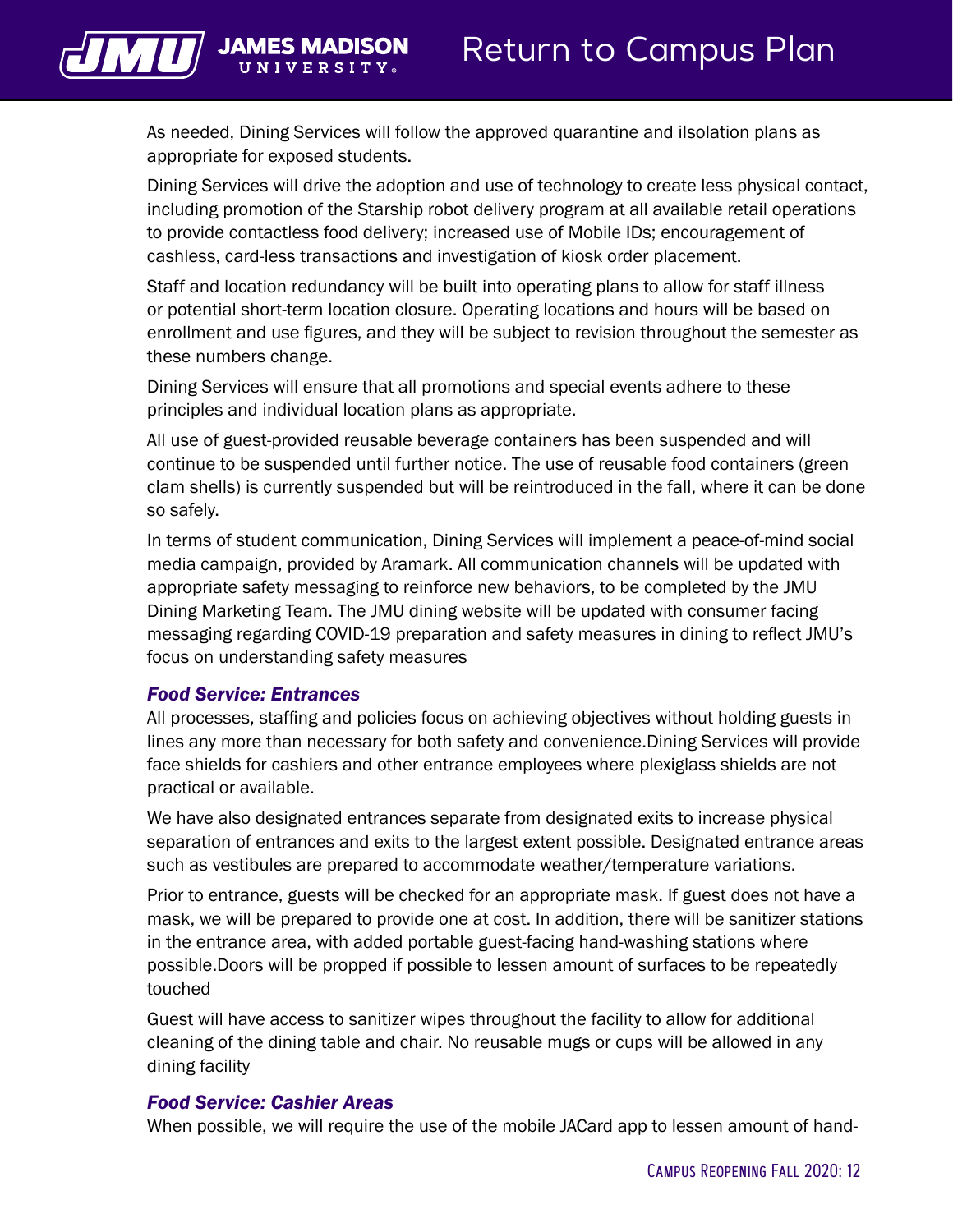

As needed, Dining Services will follow the approved quarantine and iIsolation plans as appropriate for exposed students.

Dining Services will drive the adoption and use of technology to create less physical contact, including promotion of the Starship robot delivery program at all available retail operations to provide contactless food delivery; increased use of Mobile IDs; encouragement of cashless, card-less transactions and investigation of kiosk order placement.

Staff and location redundancy will be built into operating plans to allow for staff illness or potential short-term location closure. Operating locations and hours will be based on enrollment and use figures, and they will be subject to revision throughout the semester as these numbers change.

Dining Services will ensure that all promotions and special events adhere to these principles and individual location plans as appropriate.

All use of guest-provided reusable beverage containers has been suspended and will continue to be suspended until further notice. The use of reusable food containers (green clam shells) is currently suspended but will be reintroduced in the fall, where it can be done so safely.

In terms of student communication, Dining Services will implement a peace-of-mind social media campaign, provided by Aramark. All communication channels will be updated with appropriate safety messaging to reinforce new behaviors, to be completed by the JMU Dining Marketing Team. The JMU dining website will be updated with consumer facing messaging regarding COVID-19 preparation and safety measures in dining to reflect JMU's focus on understanding safety measures

#### *Food Service: Entrances*

All processes, staffing and policies focus on achieving objectives without holding guests in lines any more than necessary for both safety and convenience.Dining Services will provide face shields for cashiers and other entrance employees where plexiglass shields are not practical or available.

We have also designated entrances separate from designated exits to increase physical separation of entrances and exits to the largest extent possible. Designated entrance areas such as vestibules are prepared to accommodate weather/temperature variations.

Prior to entrance, guests will be checked for an appropriate mask. If guest does not have a mask, we will be prepared to provide one at cost. In addition, there will be sanitizer stations in the entrance area, with added portable guest-facing hand-washing stations where possible.Doors will be propped if possible to lessen amount of surfaces to be repeatedly touched

Guest will have access to sanitizer wipes throughout the facility to allow for additional cleaning of the dining table and chair. No reusable mugs or cups will be allowed in any dining facility

#### *Food Service: Cashier Areas*

When possible, we will require the use of the mobile JACard app to lessen amount of hand-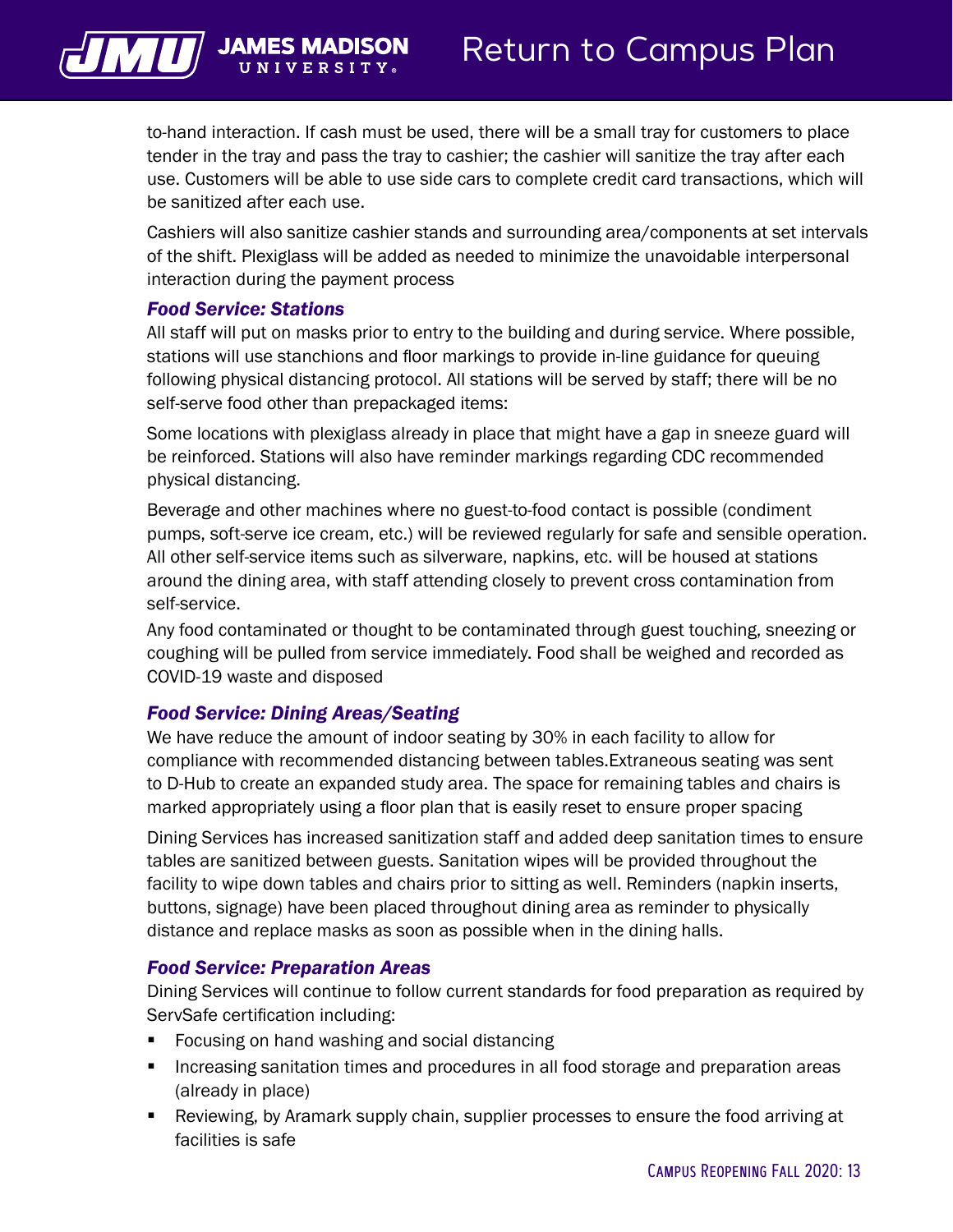to-hand interaction. If cash must be used, there will be a small tray for customers to place tender in the tray and pass the tray to cashier; the cashier will sanitize the tray after each use. Customers will be able to use side cars to complete credit card transactions, which will

Cashiers will also sanitize cashier stands and surrounding area/components at set intervals of the shift. Plexiglass will be added as needed to minimize the unavoidable interpersonal interaction during the payment process

#### *Food Service: Stations*

be sanitized after each use.

All staff will put on masks prior to entry to the building and during service. Where possible, stations will use stanchions and floor markings to provide in-line guidance for queuing following physical distancing protocol. All stations will be served by staff; there will be no self-serve food other than prepackaged items:

Some locations with plexiglass already in place that might have a gap in sneeze guard will be reinforced. Stations will also have reminder markings regarding CDC recommended physical distancing.

Beverage and other machines where no guest-to-food contact is possible (condiment pumps, soft-serve ice cream, etc.) will be reviewed regularly for safe and sensible operation. All other self-service items such as silverware, napkins, etc. will be housed at stations around the dining area, with staff attending closely to prevent cross contamination from self-service.

Any food contaminated or thought to be contaminated through guest touching, sneezing or coughing will be pulled from service immediately. Food shall be weighed and recorded as COVID-19 waste and disposed

#### *Food Service: Dining Areas/Seating*

We have reduce the amount of indoor seating by 30% in each facility to allow for compliance with recommended distancing between tables.Extraneous seating was sent to D-Hub to create an expanded study area. The space for remaining tables and chairs is marked appropriately using a floor plan that is easily reset to ensure proper spacing

Dining Services has increased sanitization staff and added deep sanitation times to ensure tables are sanitized between guests. Sanitation wipes will be provided throughout the facility to wipe down tables and chairs prior to sitting as well. Reminders (napkin inserts, buttons, signage) have been placed throughout dining area as reminder to physically distance and replace masks as soon as possible when in the dining halls.

#### *Food Service: Preparation Areas*

Dining Services will continue to follow current standards for food preparation as required by ServSafe certification including:

- Focusing on hand washing and social distancing
- Increasing sanitation times and procedures in all food storage and preparation areas (already in place)
- Reviewing, by Aramark supply chain, supplier processes to ensure the food arriving at facilities is safe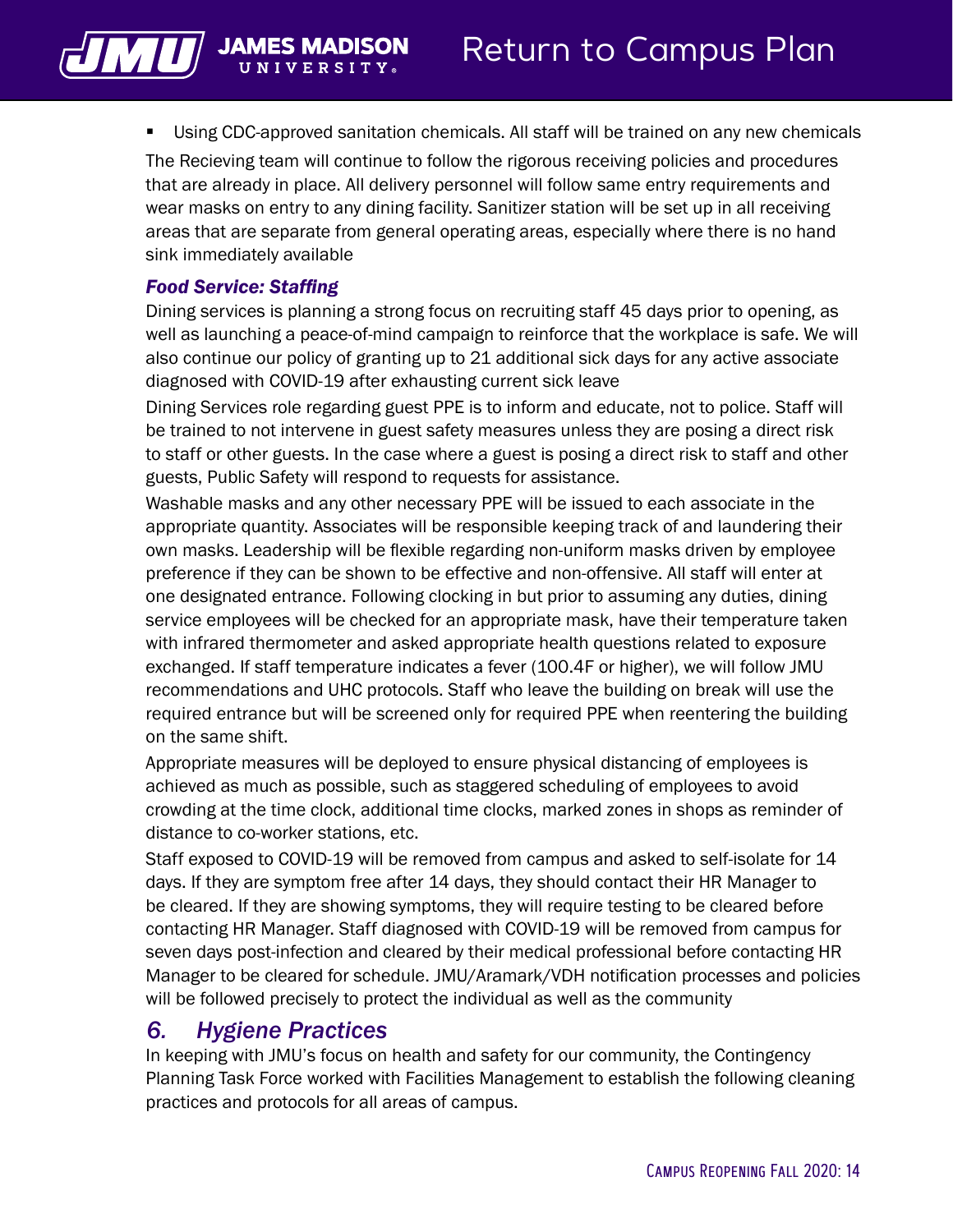

**Using CDC-approved sanitation chemicals. All staff will be trained on any new chemicals** 

The Recieving team will continue to follow the rigorous receiving policies and procedures that are already in place. All delivery personnel will follow same entry requirements and wear masks on entry to any dining facility. Sanitizer station will be set up in all receiving areas that are separate from general operating areas, especially where there is no hand sink immediately available

#### *Food Service: Staffing*

Dining services is planning a strong focus on recruiting staff 45 days prior to opening, as well as launching a peace-of-mind campaign to reinforce that the workplace is safe. We will also continue our policy of granting up to 21 additional sick days for any active associate diagnosed with COVID-19 after exhausting current sick leave

Dining Services role regarding guest PPE is to inform and educate, not to police. Staff will be trained to not intervene in guest safety measures unless they are posing a direct risk to staff or other guests. In the case where a guest is posing a direct risk to staff and other guests, Public Safety will respond to requests for assistance.

Washable masks and any other necessary PPE will be issued to each associate in the appropriate quantity. Associates will be responsible keeping track of and laundering their own masks. Leadership will be flexible regarding non-uniform masks driven by employee preference if they can be shown to be effective and non-offensive. All staff will enter at one designated entrance. Following clocking in but prior to assuming any duties, dining service employees will be checked for an appropriate mask, have their temperature taken with infrared thermometer and asked appropriate health questions related to exposure exchanged. If staff temperature indicates a fever (100.4F or higher), we will follow JMU recommendations and UHC protocols. Staff who leave the building on break will use the required entrance but will be screened only for required PPE when reentering the building on the same shift.

Appropriate measures will be deployed to ensure physical distancing of employees is achieved as much as possible, such as staggered scheduling of employees to avoid crowding at the time clock, additional time clocks, marked zones in shops as reminder of distance to co-worker stations, etc.

Staff exposed to COVID-19 will be removed from campus and asked to self-isolate for 14 days. If they are symptom free after 14 days, they should contact their HR Manager to be cleared. If they are showing symptoms, they will require testing to be cleared before contacting HR Manager. Staff diagnosed with COVID-19 will be removed from campus for seven days post-infection and cleared by their medical professional before contacting HR Manager to be cleared for schedule. JMU/Aramark/VDH notification processes and policies will be followed precisely to protect the individual as well as the community

#### *6. Hygiene Practices*

In keeping with JMU's focus on health and safety for our community, the Contingency Planning Task Force worked with Facilities Management to establish the following cleaning practices and protocols for all areas of campus.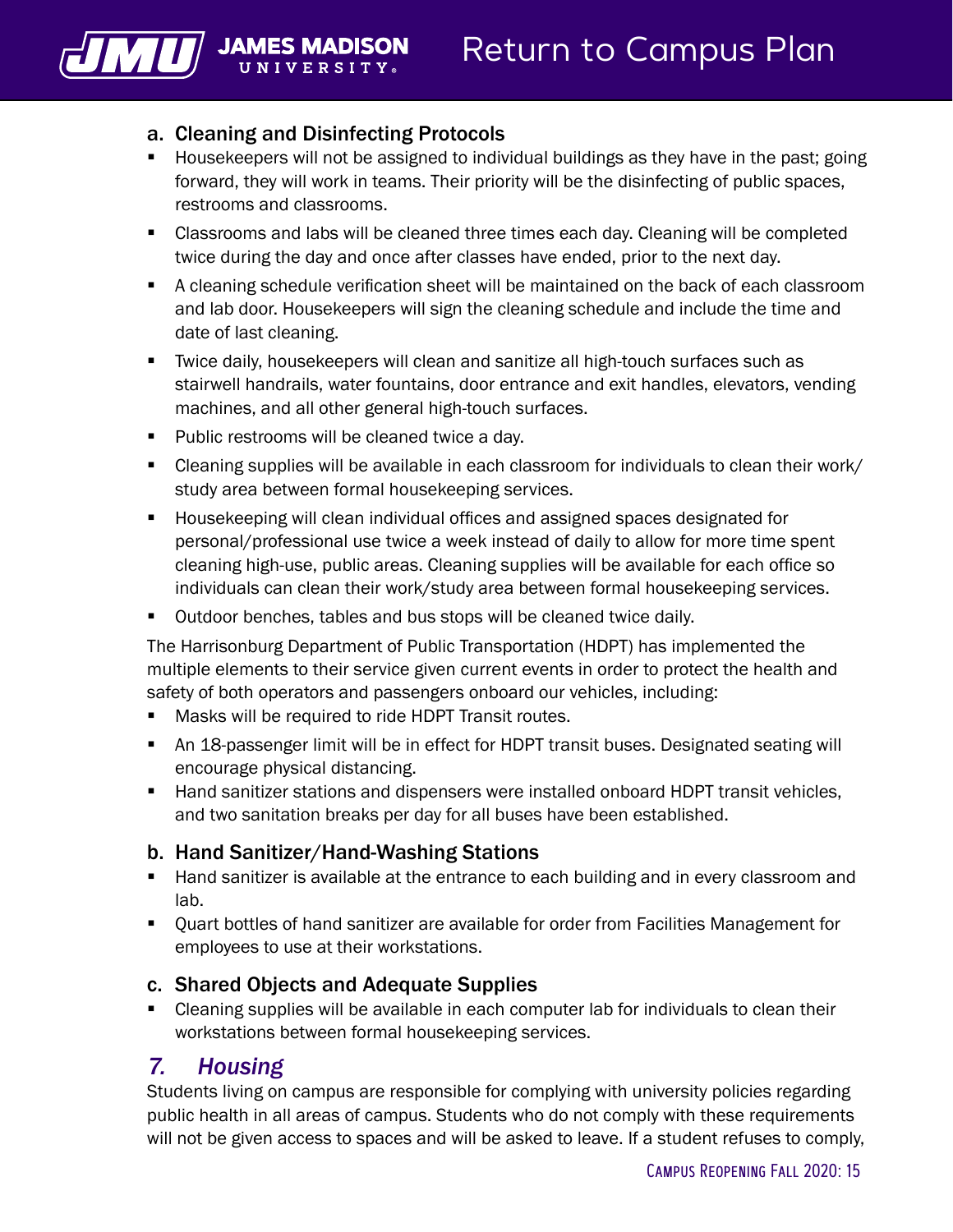<span id="page-16-0"></span>

#### a. Cleaning and Disinfecting Protocols

- Housekeepers will not be assigned to individual buildings as they have in the past; going forward, they will work in teams. Their priority will be the disinfecting of public spaces, restrooms and classrooms.
- Classrooms and labs will be cleaned three times each day. Cleaning will be completed twice during the day and once after classes have ended, prior to the next day.
- A cleaning schedule verification sheet will be maintained on the back of each classroom and lab door. Housekeepers will sign the cleaning schedule and include the time and date of last cleaning.
- Twice daily, housekeepers will clean and sanitize all high-touch surfaces such as stairwell handrails, water fountains, door entrance and exit handles, elevators, vending machines, and all other general high-touch surfaces.
- **Public restrooms will be cleaned twice a day.**
- Cleaning supplies will be available in each classroom for individuals to clean their work/ study area between formal housekeeping services.
- Housekeeping will clean individual offices and assigned spaces designated for personal/professional use twice a week instead of daily to allow for more time spent cleaning high-use, public areas. Cleaning supplies will be available for each office so individuals can clean their work/study area between formal housekeeping services.
- Outdoor benches, tables and bus stops will be cleaned twice daily.

The Harrisonburg Department of Public Transportation (HDPT) has implemented the multiple elements to their service given current events in order to protect the health and safety of both operators and passengers onboard our vehicles, including:

- **Masks will be required to ride HDPT Transit routes.**
- An 18-passenger limit will be in effect for HDPT transit buses. Designated seating will encourage physical distancing.
- Hand sanitizer stations and dispensers were installed onboard HDPT transit vehicles, and two sanitation breaks per day for all buses have been established.

#### b. Hand Sanitizer/Hand-Washing Stations

- **Hand sanitizer is available at the entrance to each building and in every classroom and** lab.
- Quart bottles of hand sanitizer are available for order from Facilities Management for employees to use at their workstations.

#### c. Shared Objects and Adequate Supplies

 Cleaning supplies will be available in each computer lab for individuals to clean their workstations between formal housekeeping services.

## *7. Housing*

Students living on campus are responsible for complying with university policies regarding public health in all areas of campus. Students who do not comply with these requirements will not be given access to spaces and will be asked to leave. If a student refuses to comply,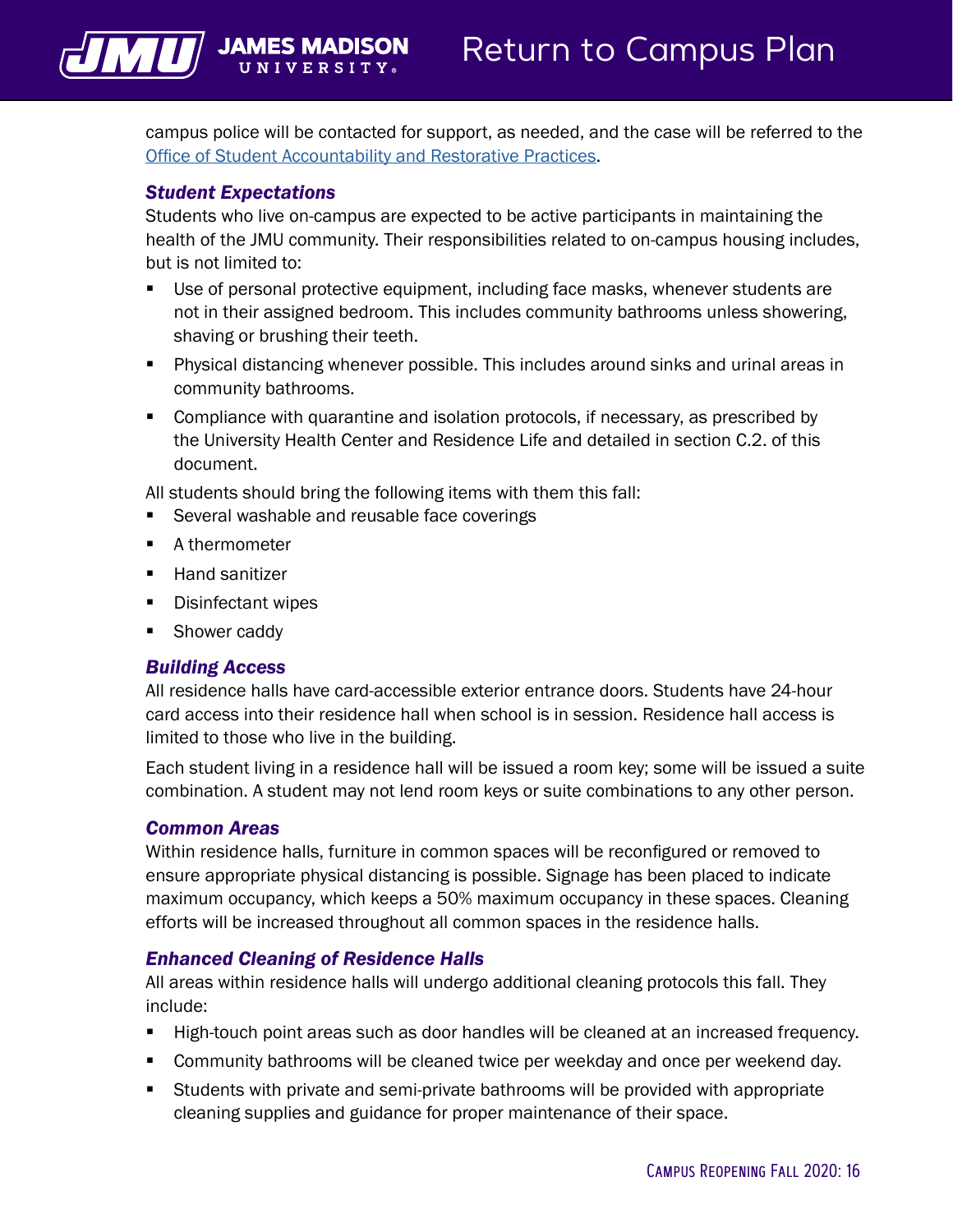campus police will be contacted for support, as needed, and the case will be referred to the [Office of Student Accountability and Restorative Practices](https://www.jmu.edu/osarp/).

#### *Student Expectations*

<span id="page-17-0"></span>VII JAMES MADISON

Students who live on-campus are expected to be active participants in maintaining the health of the JMU community. Their responsibilities related to on-campus housing includes, but is not limited to:

- Use of personal protective equipment, including face masks, whenever students are not in their assigned bedroom. This includes community bathrooms unless showering, shaving or brushing their teeth.
- Physical distancing whenever possible. This includes around sinks and urinal areas in community bathrooms.
- **Compliance with quarantine and isolation protocols, if necessary, as prescribed by** the University Health Center and Residence Life and detailed in section C.2. of this document.

All students should bring the following items with them this fall:

- Several washable and reusable face coverings
- A thermometer
- **Hand sanitizer**
- **Disinfectant wipes**
- **Shower caddy**

#### *Building Access*

All residence halls have card-accessible exterior entrance doors. Students have 24-hour card access into their residence hall when school is in session. Residence hall access is limited to those who live in the building.

Each student living in a residence hall will be issued a room key; some will be issued a suite combination. A student may not lend room keys or suite combinations to any other person.

#### *Common Areas*

Within residence halls, furniture in common spaces will be reconfigured or removed to ensure appropriate physical distancing is possible. Signage has been placed to indicate maximum occupancy, which keeps a 50% maximum occupancy in these spaces. Cleaning efforts will be increased throughout all common spaces in the residence halls.

#### *Enhanced Cleaning of Residence Halls*

All areas within residence halls will undergo additional cleaning protocols this fall. They include:

- High-touch point areas such as door handles will be cleaned at an increased frequency.
- **Community bathrooms will be cleaned twice per weekday and once per weekend day.**
- Students with private and semi-private bathrooms will be provided with appropriate cleaning supplies and guidance for proper maintenance of their space.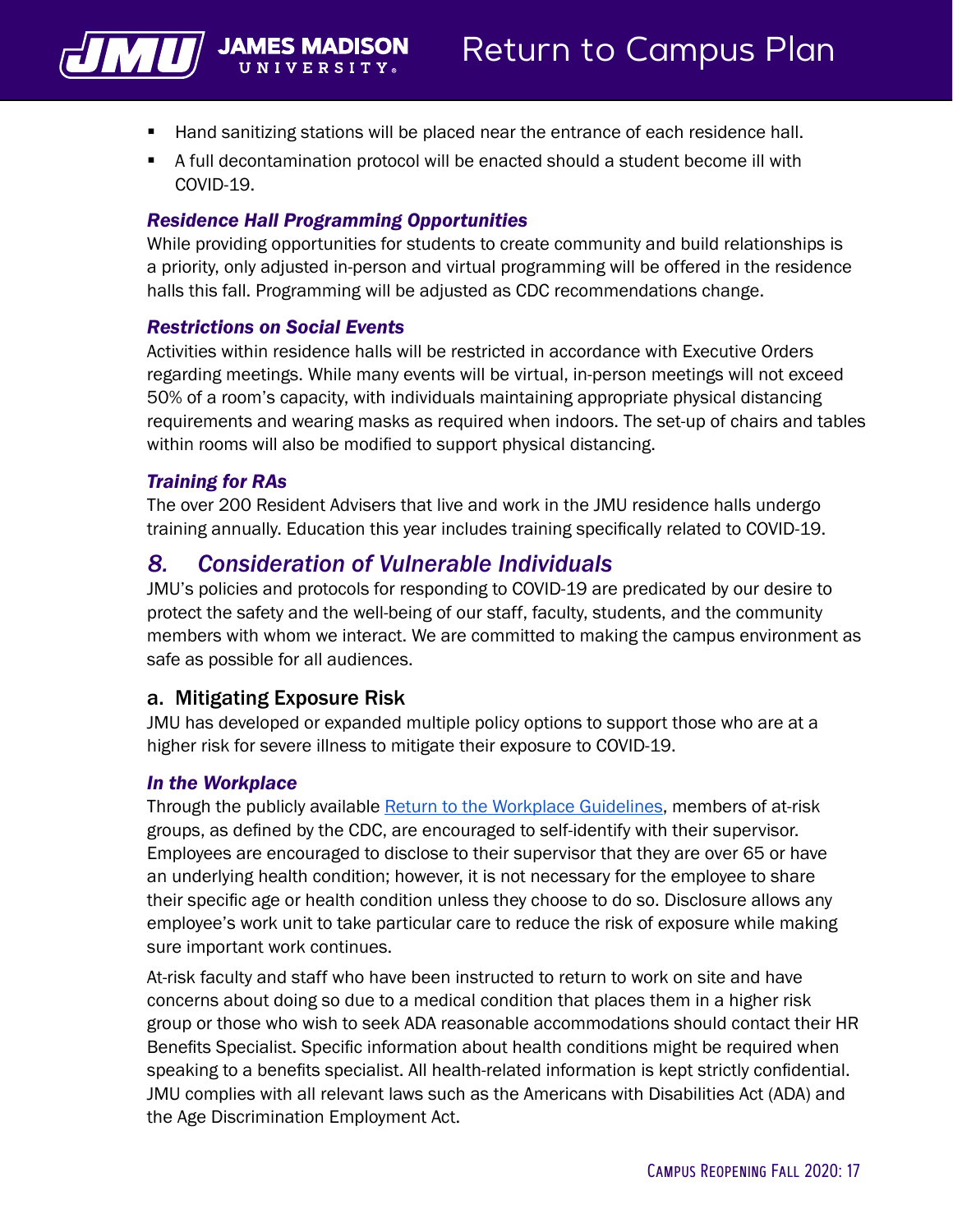<span id="page-18-0"></span>

- Hand sanitizing stations will be placed near the entrance of each residence hall.
- A full decontamination protocol will be enacted should a student become ill with COVID-19.

#### *Residence Hall Programming Opportunities*

While providing opportunities for students to create community and build relationships is a priority, only adjusted in-person and virtual programming will be offered in the residence halls this fall. Programming will be adjusted as CDC recommendations change.

#### *Restrictions on Social Events*

Activities within residence halls will be restricted in accordance with Executive Orders regarding meetings. While many events will be virtual, in-person meetings will not exceed 50% of a room's capacity, with individuals maintaining appropriate physical distancing requirements and wearing masks as required when indoors. The set-up of chairs and tables within rooms will also be modified to support physical distancing.

#### *Training for RAs*

The over 200 Resident Advisers that live and work in the JMU residence halls undergo training annually. Education this year includes training specifically related to COVID-19.

#### *8. Consideration of Vulnerable Individuals*

JMU's policies and protocols for responding to COVID-19 are predicated by our desire to protect the safety and the well-being of our staff, faculty, students, and the community members with whom we interact. We are committed to making the campus environment as safe as possible for all audiences.

#### a. Mitigating Exposure Risk

JMU has developed or expanded multiple policy options to support those who are at a higher risk for severe illness to mitigate their exposure to COVID-19.

#### *In the Workplace*

Through the publicly available [Return to the Workplace Guidelines](https://www.jmu.edu/news/2020/05/29-covid-return-guidelines.shtml), members of at-risk groups, as defined by the CDC, are encouraged to self-identify with their supervisor. Employees are encouraged to disclose to their supervisor that they are over 65 or have an underlying health condition; however, it is not necessary for the employee to share their specific age or health condition unless they choose to do so. Disclosure allows any employee's work unit to take particular care to reduce the risk of exposure while making sure important work continues.

At-risk faculty and staff who have been instructed to return to work on site and have concerns about doing so due to a medical condition that places them in a higher risk group or those who wish to seek ADA reasonable accommodations should contact their HR Benefits Specialist. Specific information about health conditions might be required when speaking to a benefits specialist. All health-related information is kept strictly confidential. JMU complies with all relevant laws such as the Americans with Disabilities Act (ADA) and the Age Discrimination Employment Act.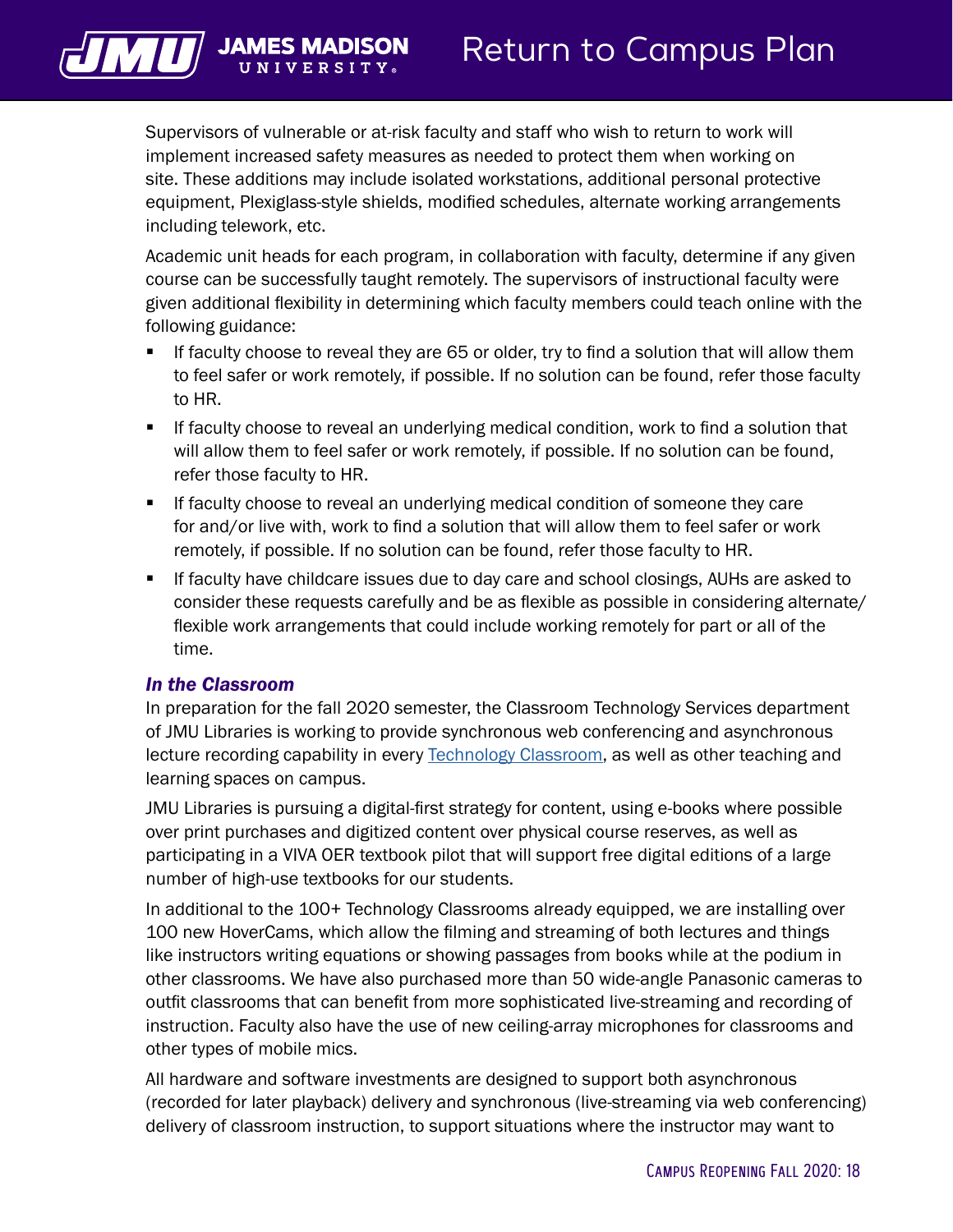

UNIVERSIT

Supervisors of vulnerable or at-risk faculty and staff who wish to return to work will implement increased safety measures as needed to protect them when working on site. These additions may include isolated workstations, additional personal protective equipment, Plexiglass-style shields, modified schedules, alternate working arrangements including telework, etc.

Academic unit heads for each program, in collaboration with faculty, determine if any given course can be successfully taught remotely. The supervisors of instructional faculty were given additional flexibility in determining which faculty members could teach online with the following guidance:

- If faculty choose to reveal they are 65 or older, try to find a solution that will allow them to feel safer or work remotely, if possible. If no solution can be found, refer those faculty to HR.
- **If faculty choose to reveal an underlying medical condition, work to find a solution that** will allow them to feel safer or work remotely, if possible. If no solution can be found, refer those faculty to HR.
- **If faculty choose to reveal an underlying medical condition of someone they care** for and/or live with, work to find a solution that will allow them to feel safer or work remotely, if possible. If no solution can be found, refer those faculty to HR.
- If faculty have childcare issues due to day care and school closings, AUHs are asked to consider these requests carefully and be as flexible as possible in considering alternate/ flexible work arrangements that could include working remotely for part or all of the time.

#### *In the Classroom*

In preparation for the fall 2020 semester, the Classroom Technology Services department of JMU Libraries is working to provide synchronous web conferencing and asynchronous lecture recording capability in every [Technology Classroom](https://www.lib.jmu.edu/tech-classrooms/), as well as other teaching and learning spaces on campus.

JMU Libraries is pursuing a digital-first strategy for content, using e-books where possible over print purchases and digitized content over physical course reserves, as well as participating in a VIVA OER textbook pilot that will support free digital editions of a large number of high-use textbooks for our students.

In additional to the 100+ Technology Classrooms already equipped, we are installing over 100 new HoverCams, which allow the filming and streaming of both lectures and things like instructors writing equations or showing passages from books while at the podium in other classrooms. We have also purchased more than 50 wide-angle Panasonic cameras to outfit classrooms that can benefit from more sophisticated live-streaming and recording of instruction. Faculty also have the use of new ceiling-array microphones for classrooms and other types of mobile mics.

All hardware and software investments are designed to support both asynchronous (recorded for later playback) delivery and synchronous (live-streaming via web conferencing) delivery of classroom instruction, to support situations where the instructor may want to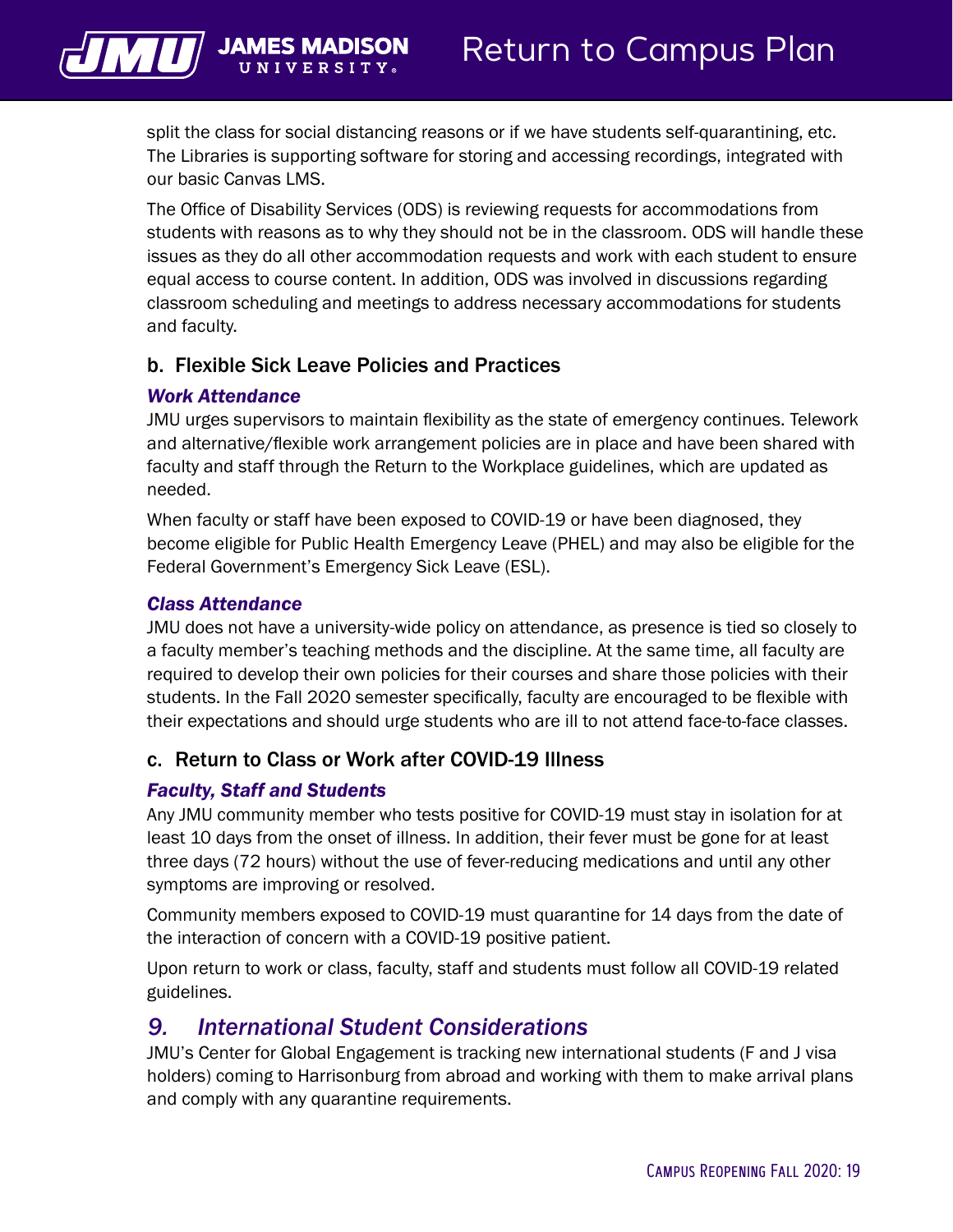

split the class for social distancing reasons or if we have students self-quarantining, etc. The Libraries is supporting software for storing and accessing recordings, integrated with our basic Canvas LMS.

The Office of Disability Services (ODS) is reviewing requests for accommodations from students with reasons as to why they should not be in the classroom. ODS will handle these issues as they do all other accommodation requests and work with each student to ensure equal access to course content. In addition, ODS was involved in discussions regarding classroom scheduling and meetings to address necessary accommodations for students and faculty.

#### b. Flexible Sick Leave Policies and Practices

#### *Work Attendance*

JMU urges supervisors to maintain flexibility as the state of emergency continues. Telework and alternative/flexible work arrangement policies are in place and have been shared with faculty and staff through the Return to the Workplace guidelines, which are updated as needed.

When faculty or staff have been exposed to COVID-19 or have been diagnosed, they become eligible for Public Health Emergency Leave (PHEL) and may also be eligible for the Federal Government's Emergency Sick Leave (ESL).

#### *Class Attendance*

JMU does not have a university-wide policy on attendance, as presence is tied so closely to a faculty member's teaching methods and the discipline. At the same time, all faculty are required to develop their own policies for their courses and share those policies with their students. In the Fall 2020 semester specifically, faculty are encouraged to be flexible with their expectations and should urge students who are ill to not attend face-to-face classes.

#### c. Return to Class or Work after COVID-19 Illness

#### *Faculty, Staff and Students*

Any JMU community member who tests positive for COVID-19 must stay in isolation for at least 10 days from the onset of illness. In addition, their fever must be gone for at least three days (72 hours) without the use of fever-reducing medications and until any other symptoms are improving or resolved.

Community members exposed to COVID-19 must quarantine for 14 days from the date of the interaction of concern with a COVID-19 positive patient.

Upon return to work or class, faculty, staff and students must follow all COVID-19 related guidelines.

#### *9. International Student Considerations*

JMU's Center for Global Engagement is tracking new international students (F and J visa holders) coming to Harrisonburg from abroad and working with them to make arrival plans and comply with any quarantine requirements.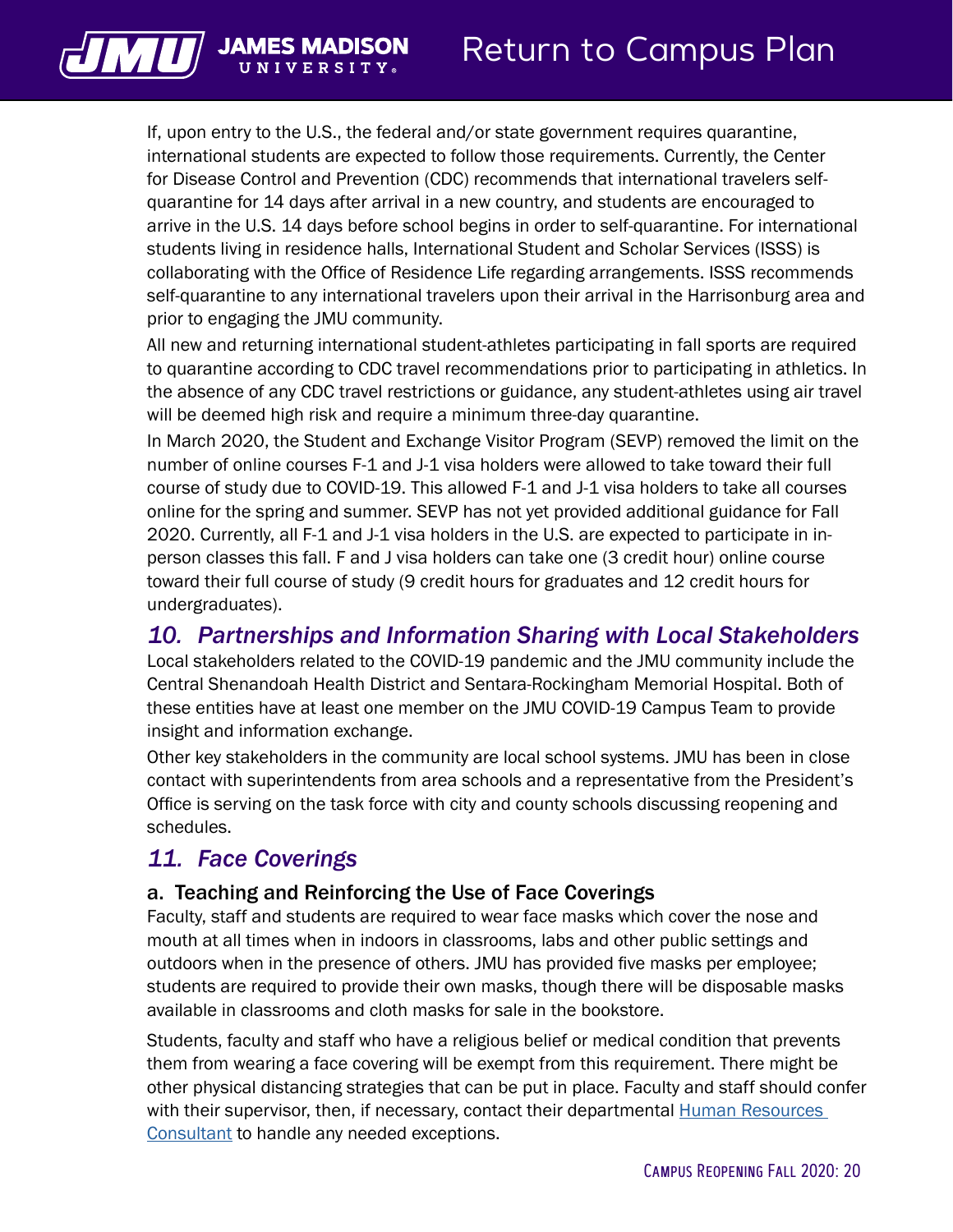If, upon entry to the U.S., the federal and/or state government requires quarantine, international students are expected to follow those requirements. Currently, the Center for Disease Control and Prevention (CDC) recommends that international travelers selfquarantine for 14 days after arrival in a new country, and students are encouraged to arrive in the U.S. 14 days before school begins in order to self-quarantine. For international students living in residence halls, International Student and Scholar Services (ISSS) is collaborating with the Office of Residence Life regarding arrangements. ISSS recommends self-quarantine to any international travelers upon their arrival in the Harrisonburg area and prior to engaging the JMU community.

All new and returning international student-athletes participating in fall sports are required to quarantine according to CDC travel recommendations prior to participating in athletics. In the absence of any CDC travel restrictions or guidance, any student-athletes using air travel will be deemed high risk and require a minimum three-day quarantine.

In March 2020, the Student and Exchange Visitor Program (SEVP) removed the limit on the number of online courses F-1 and J-1 visa holders were allowed to take toward their full course of study due to COVID-19. This allowed F-1 and J-1 visa holders to take all courses online for the spring and summer. SEVP has not yet provided additional guidance for Fall 2020. Currently, all F-1 and J-1 visa holders in the U.S. are expected to participate in inperson classes this fall. F and J visa holders can take one (3 credit hour) online course toward their full course of study (9 credit hours for graduates and 12 credit hours for undergraduates).

## *10. Partnerships and Information Sharing with Local Stakeholders*

Local stakeholders related to the COVID-19 pandemic and the JMU community include the Central Shenandoah Health District and Sentara-Rockingham Memorial Hospital. Both of these entities have at least one member on the JMU COVID-19 Campus Team to provide insight and information exchange.

Other key stakeholders in the community are local school systems. JMU has been in close contact with superintendents from area schools and a representative from the President's Office is serving on the task force with city and county schools discussing reopening and schedules.

## *11. Face Coverings*

<span id="page-21-0"></span>VIL JAMES MADISON

#### a. Teaching and Reinforcing the Use of Face Coverings

Faculty, staff and students are required to wear face masks which cover the nose and mouth at all times when in indoors in classrooms, labs and other public settings and outdoors when in the presence of others. JMU has provided five masks per employee; students are required to provide their own masks, though there will be disposable masks available in classrooms and cloth masks for sale in the bookstore.

Students, faculty and staff who have a religious belief or medical condition that prevents them from wearing a face covering will be exempt from this requirement. There might be other physical distancing strategies that can be put in place. Faculty and staff should confer with their supervisor, then, if necessary, contact their departmental **Human Resources** [Consultant](https://www.jmu.edu/humanresources/search.shtml) to handle any needed exceptions.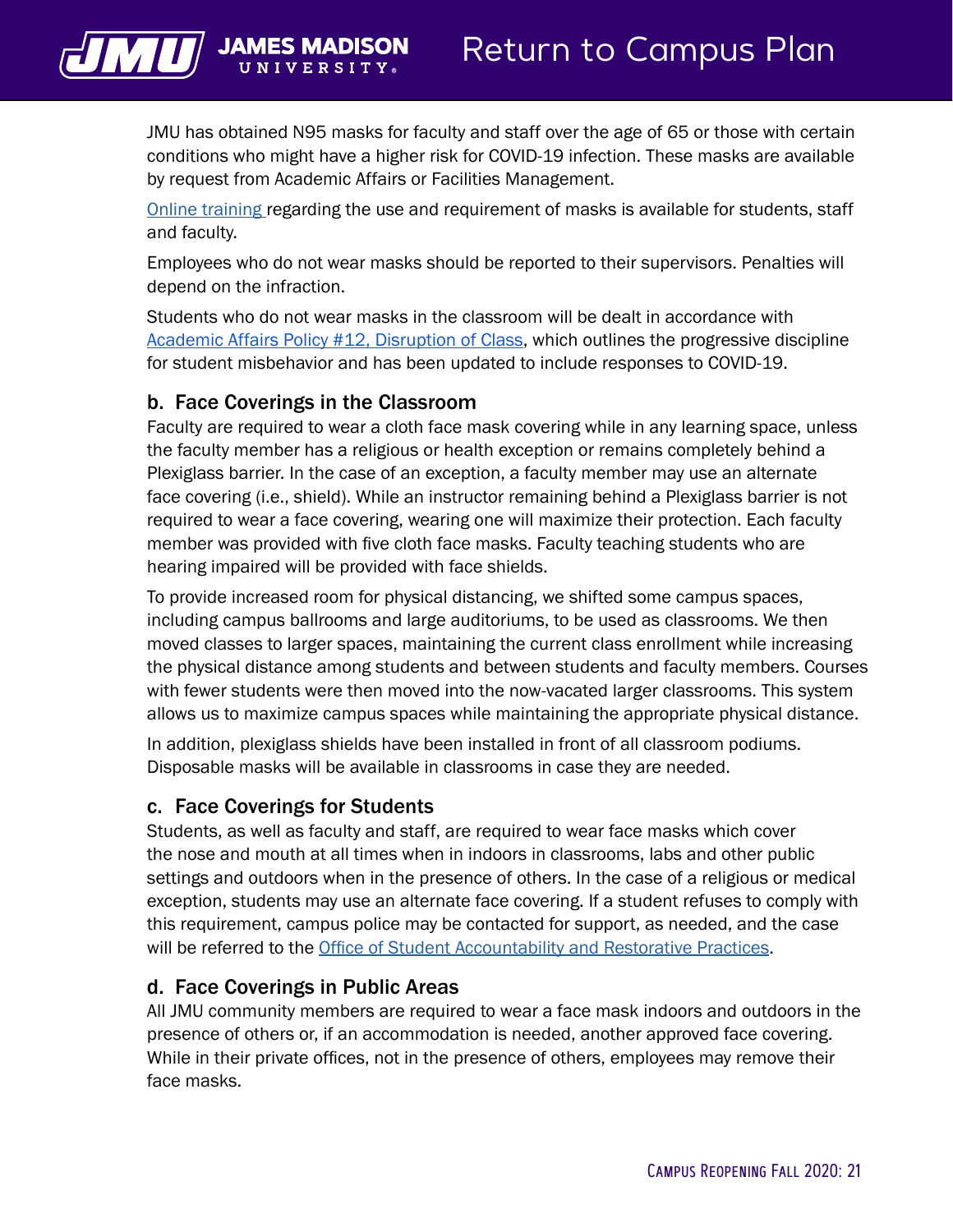

JMU has obtained N95 masks for faculty and staff over the age of 65 or those with certain conditions who might have a higher risk for COVID-19 infection. These masks are available by request from Academic Affairs or Facilities Management.

[Online training](https://www.youtube.com/watch?v=Yc_yKQryMIQ&feature=youtu.be) regarding the use and requirement of masks is available for students, staff and faculty.

Employees who do not wear masks should be reported to their supervisors. Penalties will depend on the infraction.

Students who do not wear masks in the classroom will be dealt in accordance with [Academic Affairs Policy #12, Disruption of Class](https://www.jmu.edu/academic-affairs/_documents/policies/aapolicy-12.pdf), which outlines the progressive discipline for student misbehavior and has been updated to include responses to COVID-19.

#### b. Face Coverings in the Classroom

Faculty are required to wear a cloth face mask covering while in any learning space, unless the faculty member has a religious or health exception or remains completely behind a Plexiglass barrier. In the case of an exception, a faculty member may use an alternate face covering (i.e., shield). While an instructor remaining behind a Plexiglass barrier is not required to wear a face covering, wearing one will maximize their protection. Each faculty member was provided with five cloth face masks. Faculty teaching students who are hearing impaired will be provided with face shields.

To provide increased room for physical distancing, we shifted some campus spaces, including campus ballrooms and large auditoriums, to be used as classrooms. We then moved classes to larger spaces, maintaining the current class enrollment while increasing the physical distance among students and between students and faculty members. Courses with fewer students were then moved into the now-vacated larger classrooms. This system allows us to maximize campus spaces while maintaining the appropriate physical distance.

In addition, plexiglass shields have been installed in front of all classroom podiums. Disposable masks will be available in classrooms in case they are needed.

#### c. Face Coverings for Students

Students, as well as faculty and staff, are required to wear face masks which cover the nose and mouth at all times when in indoors in classrooms, labs and other public settings and outdoors when in the presence of others. In the case of a religious or medical exception, students may use an alternate face covering. If a student refuses to comply with this requirement, campus police may be contacted for support, as needed, and the case will be referred to the [Office of Student Accountability and Restorative Practices](https://www.jmu.edu/osarp/).

#### d. Face Coverings in Public Areas

All JMU community members are required to wear a face mask indoors and outdoors in the presence of others or, if an accommodation is needed, another approved face covering. While in their private offices, not in the presence of others, employees may remove their face masks.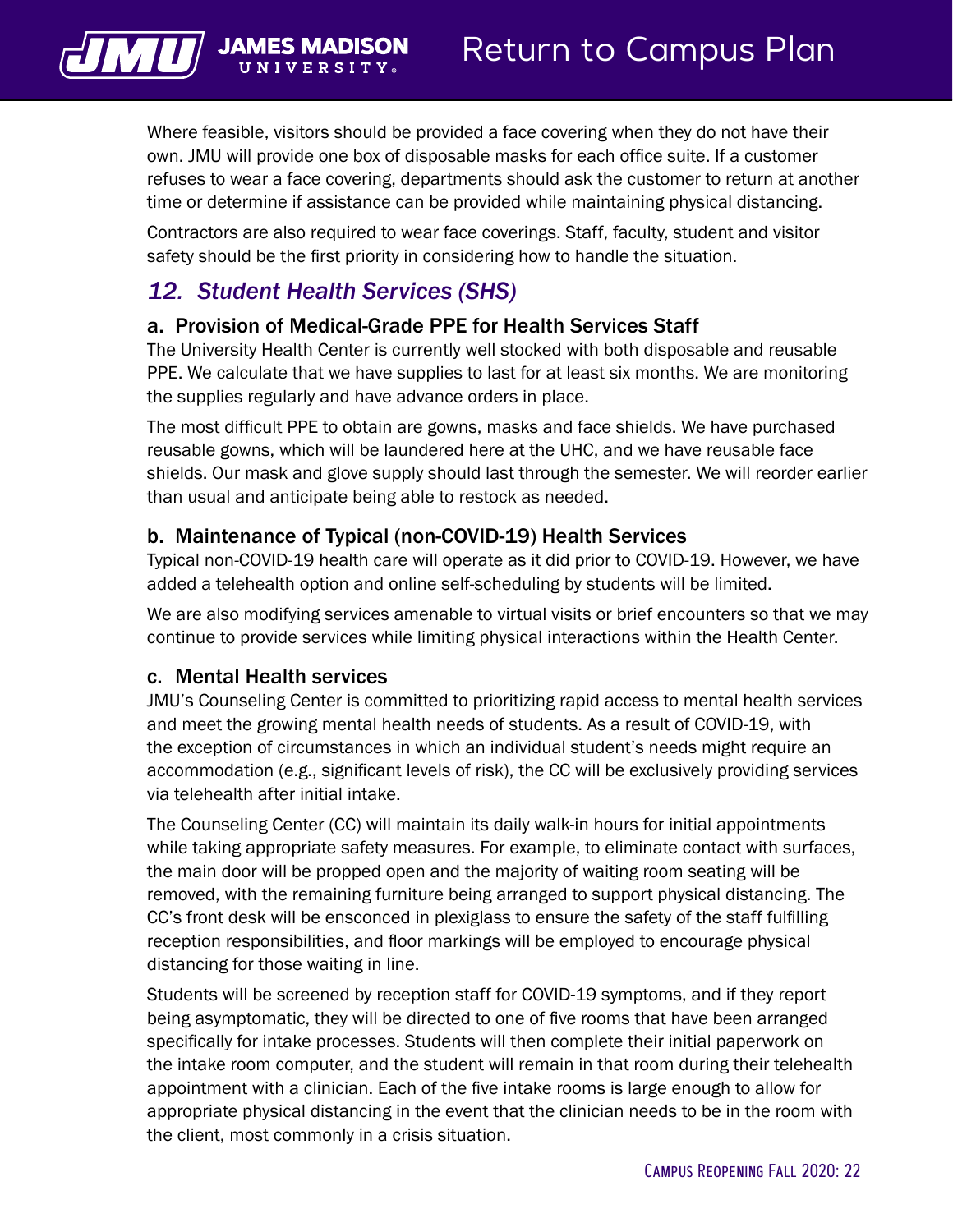Where feasible, visitors should be provided a face covering when they do not have their own. JMU will provide one box of disposable masks for each office suite. If a customer refuses to wear a face covering, departments should ask the customer to return at another time or determine if assistance can be provided while maintaining physical distancing.

Contractors are also required to wear face coverings. Staff, faculty, student and visitor safety should be the first priority in considering how to handle the situation.

## *12. Student Health Services (SHS)*

<span id="page-23-0"></span> $\sqrt{||\mathbf{u}||}$  JAMES N

#### a. Provision of Medical-Grade PPE for Health Services Staff

The University Health Center is currently well stocked with both disposable and reusable PPE. We calculate that we have supplies to last for at least six months. We are monitoring the supplies regularly and have advance orders in place.

The most difficult PPE to obtain are gowns, masks and face shields. We have purchased reusable gowns, which will be laundered here at the UHC, and we have reusable face shields. Our mask and glove supply should last through the semester. We will reorder earlier than usual and anticipate being able to restock as needed.

#### b. Maintenance of Typical (non-COVID-19) Health Services

Typical non-COVID-19 health care will operate as it did prior to COVID-19. However, we have added a telehealth option and online self-scheduling by students will be limited.

We are also modifying services amenable to virtual visits or brief encounters so that we may continue to provide services while limiting physical interactions within the Health Center.

#### c. Mental Health services

JMU's Counseling Center is committed to prioritizing rapid access to mental health services and meet the growing mental health needs of students. As a result of COVID-19, with the exception of circumstances in which an individual student's needs might require an accommodation (e.g., significant levels of risk), the CC will be exclusively providing services via telehealth after initial intake.

The Counseling Center (CC) will maintain its daily walk-in hours for initial appointments while taking appropriate safety measures. For example, to eliminate contact with surfaces, the main door will be propped open and the majority of waiting room seating will be removed, with the remaining furniture being arranged to support physical distancing. The CC's front desk will be ensconced in plexiglass to ensure the safety of the staff fulfilling reception responsibilities, and floor markings will be employed to encourage physical distancing for those waiting in line.

Students will be screened by reception staff for COVID-19 symptoms, and if they report being asymptomatic, they will be directed to one of five rooms that have been arranged specifically for intake processes. Students will then complete their initial paperwork on the intake room computer, and the student will remain in that room during their telehealth appointment with a clinician. Each of the five intake rooms is large enough to allow for appropriate physical distancing in the event that the clinician needs to be in the room with the client, most commonly in a crisis situation.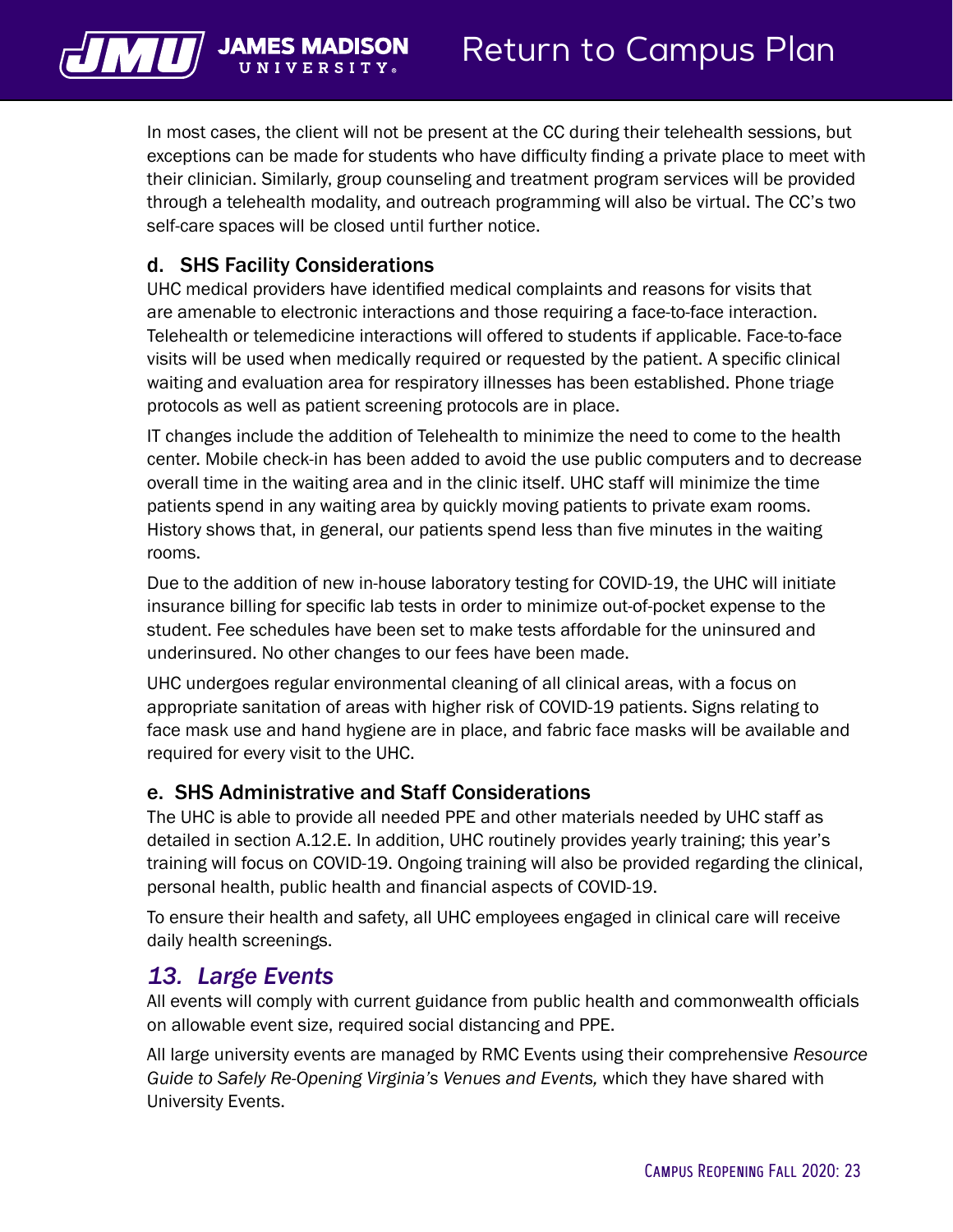<span id="page-24-0"></span>

In most cases, the client will not be present at the CC during their telehealth sessions, but exceptions can be made for students who have difficulty finding a private place to meet with their clinician. Similarly, group counseling and treatment program services will be provided through a telehealth modality, and outreach programming will also be virtual. The CC's two self-care spaces will be closed until further notice.

## d. SHS Facility Considerations

UHC medical providers have identified medical complaints and reasons for visits that are amenable to electronic interactions and those requiring a face-to-face interaction. Telehealth or telemedicine interactions will offered to students if applicable. Face-to-face visits will be used when medically required or requested by the patient. A specific clinical waiting and evaluation area for respiratory illnesses has been established. Phone triage protocols as well as patient screening protocols are in place.

IT changes include the addition of Telehealth to minimize the need to come to the health center. Mobile check-in has been added to avoid the use public computers and to decrease overall time in the waiting area and in the clinic itself. UHC staff will minimize the time patients spend in any waiting area by quickly moving patients to private exam rooms. History shows that, in general, our patients spend less than five minutes in the waiting rooms.

Due to the addition of new in-house laboratory testing for COVID-19, the UHC will initiate insurance billing for specific lab tests in order to minimize out-of-pocket expense to the student. Fee schedules have been set to make tests affordable for the uninsured and underinsured. No other changes to our fees have been made.

UHC undergoes regular environmental cleaning of all clinical areas, with a focus on appropriate sanitation of areas with higher risk of COVID-19 patients. Signs relating to face mask use and hand hygiene are in place, and fabric face masks will be available and required for every visit to the UHC.

#### e. SHS Administrative and Staff Considerations

The UHC is able to provide all needed PPE and other materials needed by UHC staff as detailed in section A.12.E. In addition, UHC routinely provides yearly training; this year's training will focus on COVID-19. Ongoing training will also be provided regarding the clinical, personal health, public health and financial aspects of COVID-19.

To ensure their health and safety, all UHC employees engaged in clinical care will receive daily health screenings.

## *13. Large Events*

All events will comply with current guidance from public health and commonwealth officials on allowable event size, required social distancing and PPE.

All large university events are managed by RMC Events using their comprehensive *Resource Guide to Safely Re-Opening Virginia's Venues and Events,* which they have shared with University Events.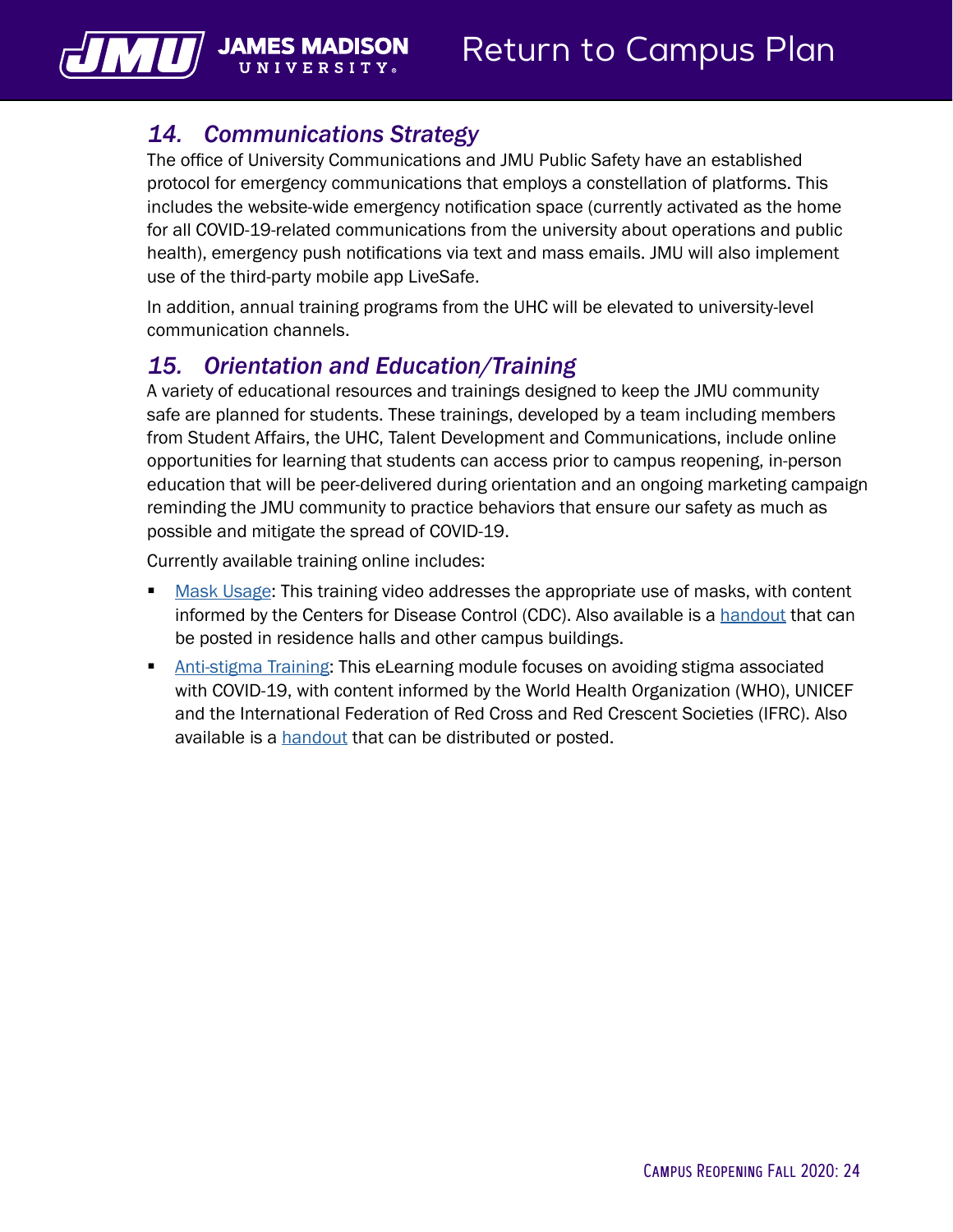## *14. Communications Strategy*

**UNIVERSIT** 

<span id="page-25-0"></span> $\sqrt{||\mathbf{u}||}$  James N

The office of University Communications and JMU Public Safety have an established protocol for emergency communications that employs a constellation of platforms. This includes the website-wide emergency notification space (currently activated as the home for all COVID-19-related communications from the university about operations and public health), emergency push notifications via text and mass emails. JMU will also implement use of the third-party mobile app LiveSafe.

In addition, annual training programs from the UHC will be elevated to university-level communication channels.

## *15. Orientation and Education/Training*

A variety of educational resources and trainings designed to keep the JMU community safe are planned for students. These trainings, developed by a team including members from Student Affairs, the UHC, Talent Development and Communications, include online opportunities for learning that students can access prior to campus reopening, in-person education that will be peer-delivered during orientation and an ongoing marketing campaign reminding the JMU community to practice behaviors that ensure our safety as much as possible and mitigate the spread of COVID-19.

Currently available training online includes:

- [Mask Usage](https://www.youtube.com/watch?v=Yc_yKQryMIQ&feature=youtu.be): This training video addresses the appropriate use of masks, with content informed by the Centers for Disease Control (CDC). Also available is a [handout](https://www.jmu.edu/talentdevelopment/_files/CDC-cloth-face-covering-instructions.pdf) that can be posted in residence halls and other campus buildings.
- **[Anti-stigma Training:](https://www.jmu.edu/talentdevelopment/covid-19-training-avoid-stigma/) This eLearning module focuses on avoiding stigma associated** with COVID-19, with content informed by the World Health Organization (WHO), UNICEF and the International Federation of Red Cross and Red Crescent Societies (IFRC). Also available is a [handout](https://www.jmu.edu/talentdevelopment/_files/WHO-covid19-stigma-guide.pdf) that can be distributed or posted.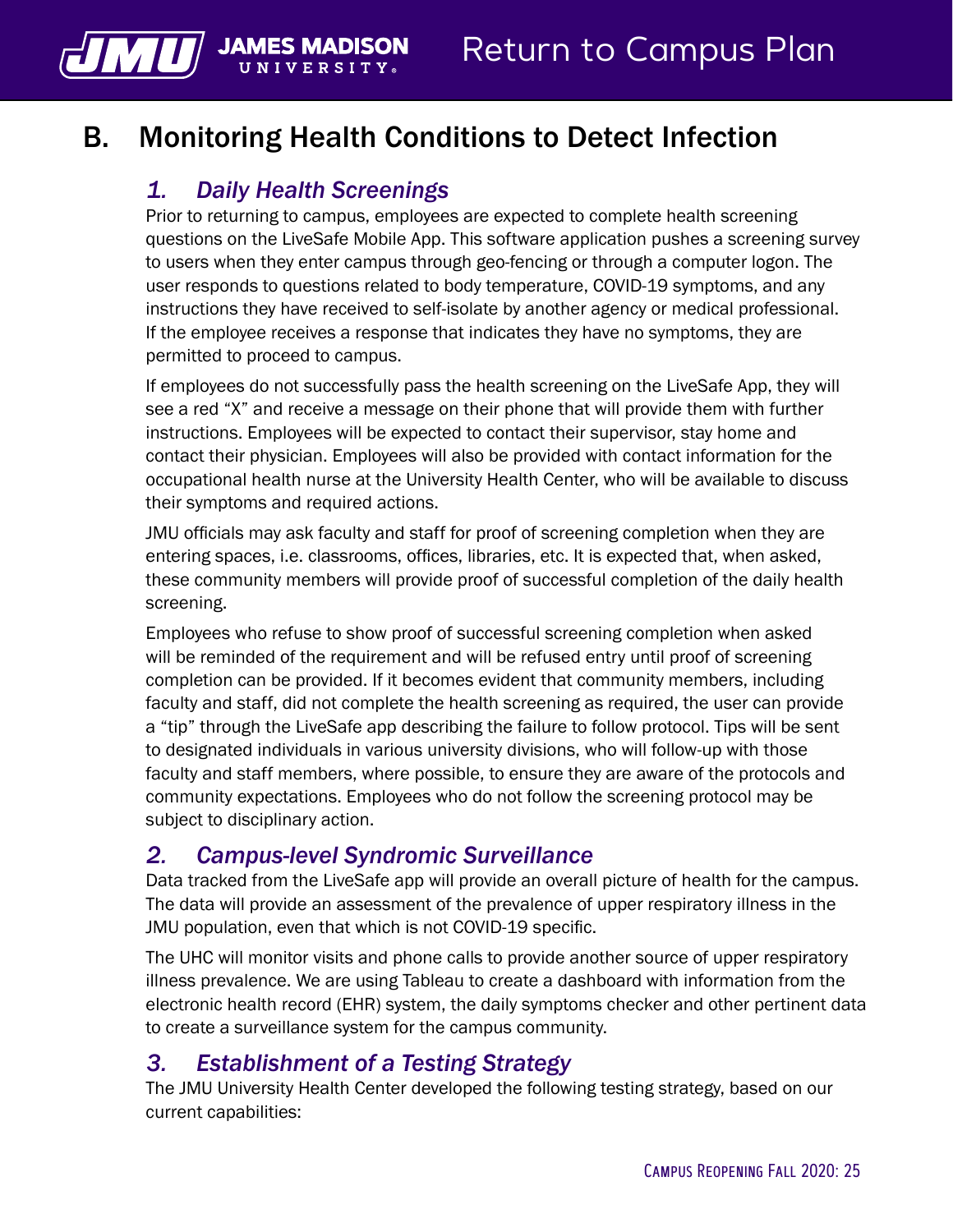## <span id="page-26-0"></span>B. Monitoring Health Conditions to Detect Infection

## *1. Daily Health Screenings*

UNIVERSIT

**JAMES M** 

Prior to returning to campus, employees are expected to complete health screening questions on the LiveSafe Mobile App. This software application pushes a screening survey to users when they enter campus through geo-fencing or through a computer logon. The user responds to questions related to body temperature, COVID-19 symptoms, and any instructions they have received to self-isolate by another agency or medical professional. If the employee receives a response that indicates they have no symptoms, they are permitted to proceed to campus.

If employees do not successfully pass the health screening on the LiveSafe App, they will see a red "X" and receive a message on their phone that will provide them with further instructions. Employees will be expected to contact their supervisor, stay home and contact their physician. Employees will also be provided with contact information for the occupational health nurse at the University Health Center, who will be available to discuss their symptoms and required actions.

JMU officials may ask faculty and staff for proof of screening completion when they are entering spaces, i.e. classrooms, offices, libraries, etc. It is expected that, when asked, these community members will provide proof of successful completion of the daily health screening.

Employees who refuse to show proof of successful screening completion when asked will be reminded of the requirement and will be refused entry until proof of screening completion can be provided. If it becomes evident that community members, including faculty and staff, did not complete the health screening as required, the user can provide a "tip" through the LiveSafe app describing the failure to follow protocol. Tips will be sent to designated individuals in various university divisions, who will follow-up with those faculty and staff members, where possible, to ensure they are aware of the protocols and community expectations. Employees who do not follow the screening protocol may be subject to disciplinary action.

## *2. Campus-level Syndromic Surveillance*

Data tracked from the LiveSafe app will provide an overall picture of health for the campus. The data will provide an assessment of the prevalence of upper respiratory illness in the JMU population, even that which is not COVID-19 specific.

The UHC will monitor visits and phone calls to provide another source of upper respiratory illness prevalence. We are using Tableau to create a dashboard with information from the electronic health record (EHR) system, the daily symptoms checker and other pertinent data to create a surveillance system for the campus community.

## *3. Establishment of a Testing Strategy*

The JMU University Health Center developed the following testing strategy, based on our current capabilities: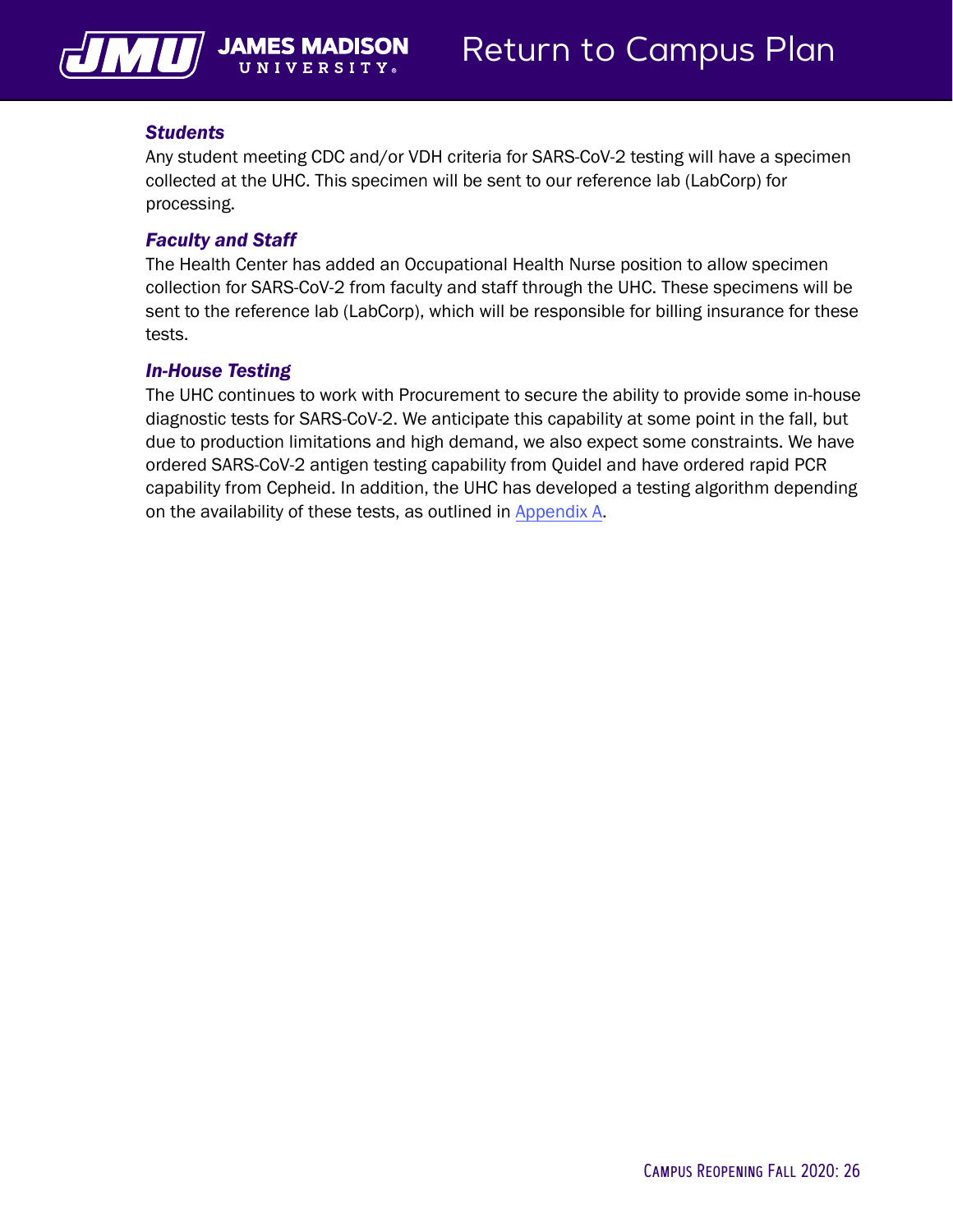<span id="page-27-0"></span>

#### *Students*

Any student meeting CDC and/or VDH criteria for SARS-CoV-2 testing will have a specimen collected at the UHC. This specimen will be sent to our reference lab (LabCorp) for processing.

#### *Faculty and Staff*

The Health Center has added an Occupational Health Nurse position to allow specimen collection for SARS-CoV-2 from faculty and staff through the UHC. These specimens will be sent to the reference lab (LabCorp), which will be responsible for billing insurance for these tests.

#### *In-House Testing*

The UHC continues to work with Procurement to secure the ability to provide some in-house diagnostic tests for SARS-CoV-2. We anticipate this capability at some point in the fall, but due to production limitations and high demand, we also expect some constraints. We have ordered SARS-CoV-2 antigen testing capability from Quidel and have ordered rapid PCR capability from Cepheid. In addition, the UHC has developed a testing algorithm depending on the availability of these tests, as outlined in [Appendix A.](#page-36-0)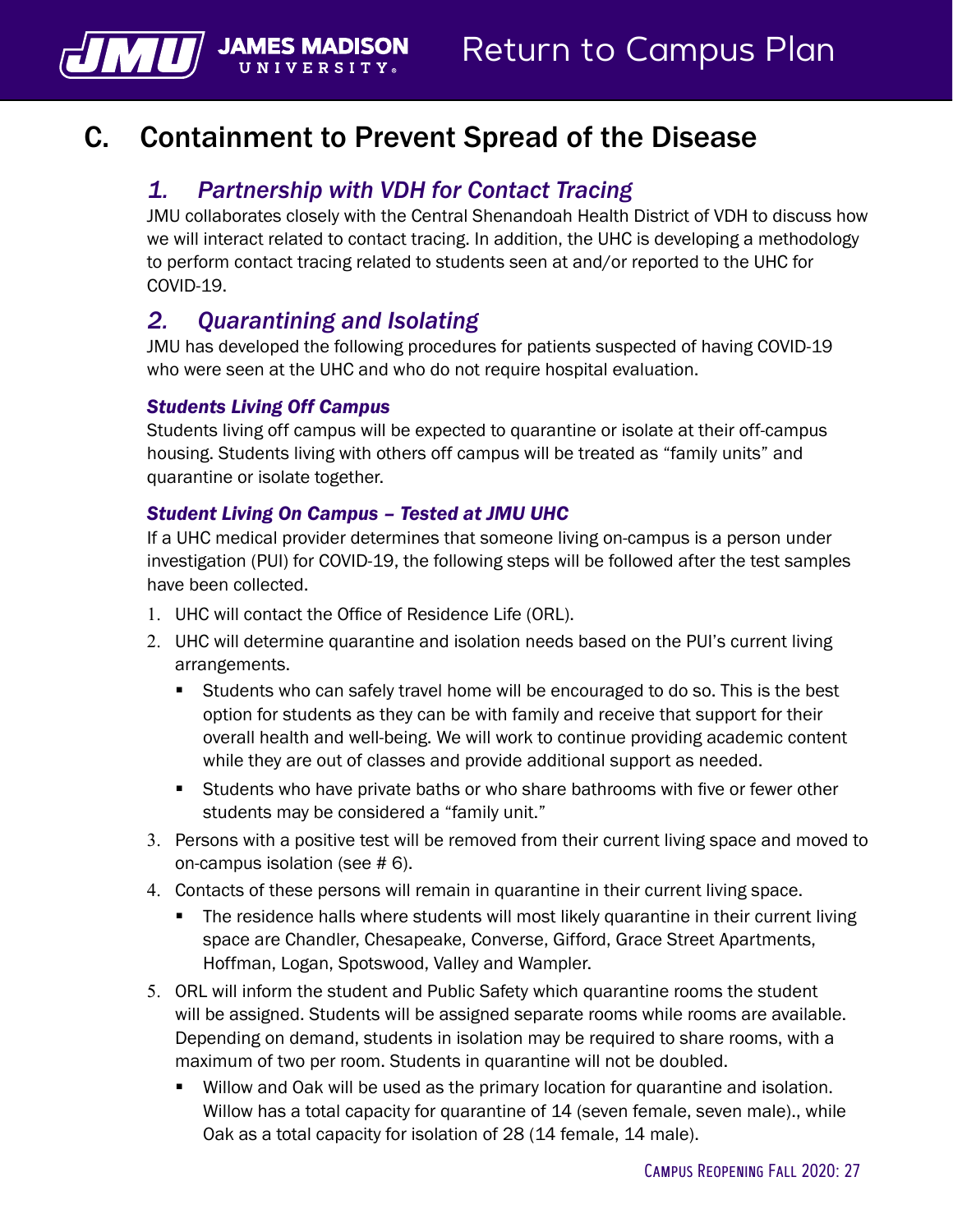## C. Containment to Prevent Spread of the Disease

## *1. Partnership with VDH for Contact Tracing*

JMU collaborates closely with the Central Shenandoah Health District of VDH to discuss how we will interact related to contact tracing. In addition, the UHC is developing a methodology to perform contact tracing related to students seen at and/or reported to the UHC for COVID-19.

## *2. Quarantining and Isolating*

JMU has developed the following procedures for patients suspected of having COVID-19 who were seen at the UHC and who do not require hospital evaluation.

#### *Students Living Off Campus*

**JAMES** 

Students living off campus will be expected to quarantine or isolate at their off-campus housing. Students living with others off campus will be treated as "family units" and quarantine or isolate together.

#### *Student Living On Campus – Tested at JMU UHC*

If a UHC medical provider determines that someone living on-campus is a person under investigation (PUI) for COVID-19, the following steps will be followed after the test samples have been collected.

- 1. UHC will contact the Office of Residence Life (ORL).
- 2. UHC will determine quarantine and isolation needs based on the PUI's current living arrangements.
	- Students who can safely travel home will be encouraged to do so. This is the best option for students as they can be with family and receive that support for their overall health and well-being. We will work to continue providing academic content while they are out of classes and provide additional support as needed.
	- Students who have private baths or who share bathrooms with five or fewer other students may be considered a "family unit."
- 3. Persons with a positive test will be removed from their current living space and moved to on-campus isolation (see # 6).
- 4. Contacts of these persons will remain in quarantine in their current living space.
	- The residence halls where students will most likely quarantine in their current living space are Chandler, Chesapeake, Converse, Gifford, Grace Street Apartments, Hoffman, Logan, Spotswood, Valley and Wampler.
- 5. ORL will inform the student and Public Safety which quarantine rooms the student will be assigned. Students will be assigned separate rooms while rooms are available. Depending on demand, students in isolation may be required to share rooms, with a maximum of two per room. Students in quarantine will not be doubled.
	- Willow and Oak will be used as the primary location for quarantine and isolation. Willow has a total capacity for quarantine of 14 (seven female, seven male)., while Oak as a total capacity for isolation of 28 (14 female, 14 male).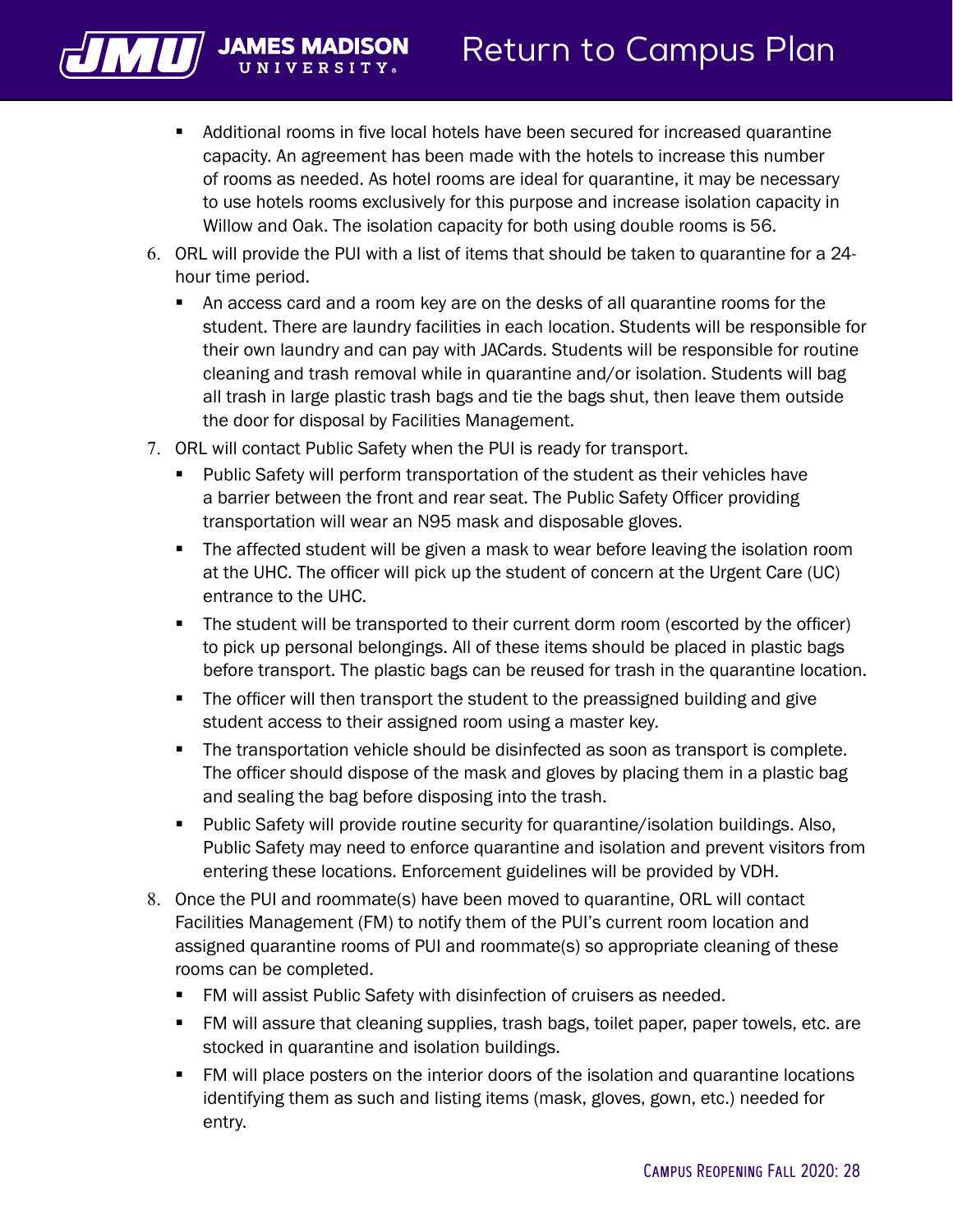

- Additional rooms in five local hotels have been secured for increased quarantine capacity. An agreement has been made with the hotels to increase this number of rooms as needed. As hotel rooms are ideal for quarantine, it may be necessary to use hotels rooms exclusively for this purpose and increase isolation capacity in Willow and Oak. The isolation capacity for both using double rooms is 56.
- 6. ORL will provide the PUI with a list of items that should be taken to quarantine for a 24 hour time period.
	- An access card and a room key are on the desks of all quarantine rooms for the student. There are laundry facilities in each location. Students will be responsible for their own laundry and can pay with JACards. Students will be responsible for routine cleaning and trash removal while in quarantine and/or isolation. Students will bag all trash in large plastic trash bags and tie the bags shut, then leave them outside the door for disposal by Facilities Management.
- 7. ORL will contact Public Safety when the PUI is ready for transport.
	- Public Safety will perform transportation of the student as their vehicles have a barrier between the front and rear seat. The Public Safety Officer providing transportation will wear an N95 mask and disposable gloves.
	- The affected student will be given a mask to wear before leaving the isolation room at the UHC. The officer will pick up the student of concern at the Urgent Care (UC) entrance to the UHC.
	- The student will be transported to their current dorm room (escorted by the officer) to pick up personal belongings. All of these items should be placed in plastic bags before transport. The plastic bags can be reused for trash in the quarantine location.
	- The officer will then transport the student to the preassigned building and give student access to their assigned room using a master key.
	- The transportation vehicle should be disinfected as soon as transport is complete. The officer should dispose of the mask and gloves by placing them in a plastic bag and sealing the bag before disposing into the trash.
	- Public Safety will provide routine security for quarantine/isolation buildings. Also, Public Safety may need to enforce quarantine and isolation and prevent visitors from entering these locations. Enforcement guidelines will be provided by VDH.
- 8. Once the PUI and roommate(s) have been moved to quarantine, ORL will contact Facilities Management (FM) to notify them of the PUI's current room location and assigned quarantine rooms of PUI and roommate(s) so appropriate cleaning of these rooms can be completed.
	- FM will assist Public Safety with disinfection of cruisers as needed.
	- FM will assure that cleaning supplies, trash bags, toilet paper, paper towels, etc. are stocked in quarantine and isolation buildings.
	- FM will place posters on the interior doors of the isolation and quarantine locations identifying them as such and listing items (mask, gloves, gown, etc.) needed for entry.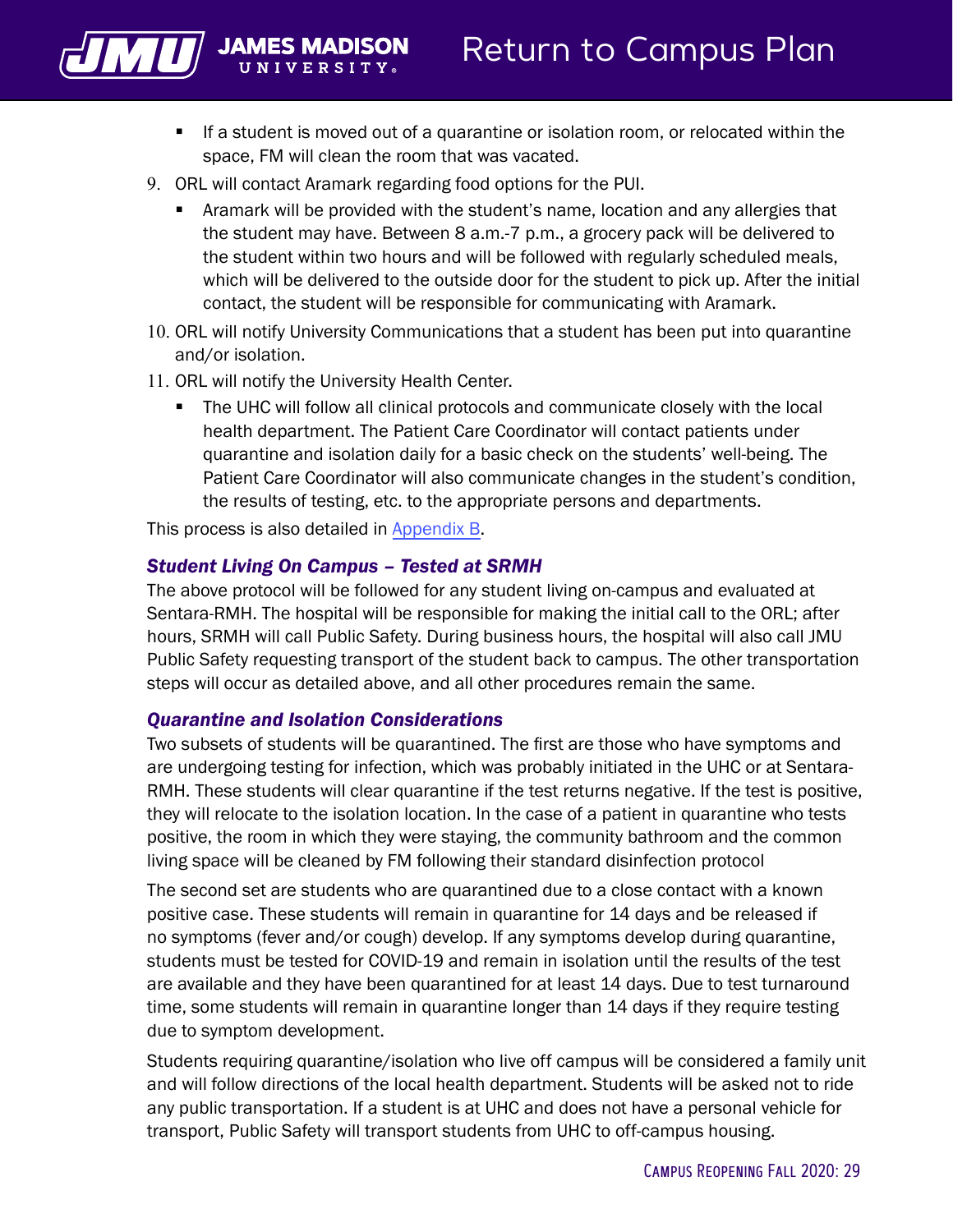<span id="page-30-0"></span>

- If a student is moved out of a quarantine or isolation room, or relocated within the space, FM will clean the room that was vacated.
- 9. ORL will contact Aramark regarding food options for the PUI.
	- Aramark will be provided with the student's name, location and any allergies that the student may have. Between 8 a.m.-7 p.m., a grocery pack will be delivered to the student within two hours and will be followed with regularly scheduled meals, which will be delivered to the outside door for the student to pick up. After the initial contact, the student will be responsible for communicating with Aramark.
- 10. ORL will notify University Communications that a student has been put into quarantine and/or isolation.
- 11. ORL will notify the University Health Center.
	- The UHC will follow all clinical protocols and communicate closely with the local health department. The Patient Care Coordinator will contact patients under quarantine and isolation daily for a basic check on the students' well-being. The Patient Care Coordinator will also communicate changes in the student's condition, the results of testing, etc. to the appropriate persons and departments.

This process is also detailed in [Appendix B.](#page-37-0)

#### *Student Living On Campus – Tested at SRMH*

The above protocol will be followed for any student living on-campus and evaluated at Sentara-RMH. The hospital will be responsible for making the initial call to the ORL; after hours, SRMH will call Public Safety. During business hours, the hospital will also call JMU Public Safety requesting transport of the student back to campus. The other transportation steps will occur as detailed above, and all other procedures remain the same.

#### *Quarantine and Isolation Considerations*

Two subsets of students will be quarantined. The first are those who have symptoms and are undergoing testing for infection, which was probably initiated in the UHC or at Sentara-RMH. These students will clear quarantine if the test returns negative. If the test is positive, they will relocate to the isolation location. In the case of a patient in quarantine who tests positive, the room in which they were staying, the community bathroom and the common living space will be cleaned by FM following their standard disinfection protocol

The second set are students who are quarantined due to a close contact with a known positive case. These students will remain in quarantine for 14 days and be released if no symptoms (fever and/or cough) develop. If any symptoms develop during quarantine, students must be tested for COVID-19 and remain in isolation until the results of the test are available and they have been quarantined for at least 14 days. Due to test turnaround time, some students will remain in quarantine longer than 14 days if they require testing due to symptom development.

Students requiring quarantine/isolation who live off campus will be considered a family unit and will follow directions of the local health department. Students will be asked not to ride any public transportation. If a student is at UHC and does not have a personal vehicle for transport, Public Safety will transport students from UHC to off-campus housing.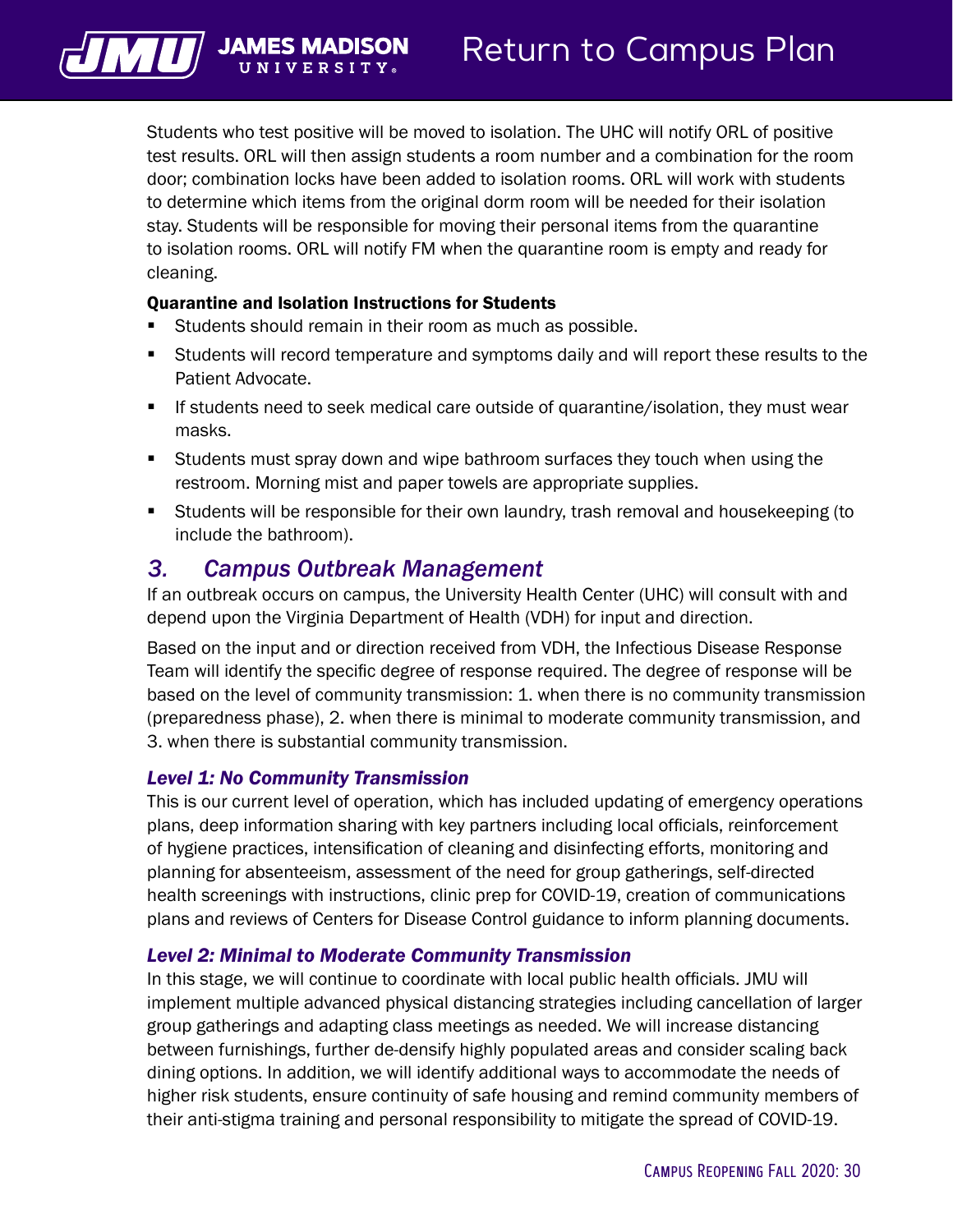<span id="page-31-0"></span>

// JAMES N

Students who test positive will be moved to isolation. The UHC will notify ORL of positive test results. ORL will then assign students a room number and a combination for the room door; combination locks have been added to isolation rooms. ORL will work with students to determine which items from the original dorm room will be needed for their isolation stay. Students will be responsible for moving their personal items from the quarantine to isolation rooms. ORL will notify FM when the quarantine room is empty and ready for cleaning.

#### Quarantine and Isolation Instructions for Students

- Students should remain in their room as much as possible.
- Students will record temperature and symptoms daily and will report these results to the Patient Advocate.
- If students need to seek medical care outside of quarantine/isolation, they must wear masks.
- Students must spray down and wipe bathroom surfaces they touch when using the restroom. Morning mist and paper towels are appropriate supplies.
- Students will be responsible for their own laundry, trash removal and housekeeping (to include the bathroom).

#### *3. Campus Outbreak Management*

If an outbreak occurs on campus, the University Health Center (UHC) will consult with and depend upon the Virginia Department of Health (VDH) for input and direction.

Based on the input and or direction received from VDH, the Infectious Disease Response Team will identify the specific degree of response required. The degree of response will be based on the level of community transmission: 1. when there is no community transmission (preparedness phase), 2. when there is minimal to moderate community transmission, and 3. when there is substantial community transmission.

#### *Level 1: No Community Transmission*

This is our current level of operation, which has included updating of emergency operations plans, deep information sharing with key partners including local officials, reinforcement of hygiene practices, intensification of cleaning and disinfecting efforts, monitoring and planning for absenteeism, assessment of the need for group gatherings, self-directed health screenings with instructions, clinic prep for COVID-19, creation of communications plans and reviews of Centers for Disease Control guidance to inform planning documents.

#### *Level 2: Minimal to Moderate Community Transmission*

In this stage, we will continue to coordinate with local public health officials. JMU will implement multiple advanced physical distancing strategies including cancellation of larger group gatherings and adapting class meetings as needed. We will increase distancing between furnishings, further de-densify highly populated areas and consider scaling back dining options. In addition, we will identify additional ways to accommodate the needs of higher risk students, ensure continuity of safe housing and remind community members of their anti-stigma training and personal responsibility to mitigate the spread of COVID-19.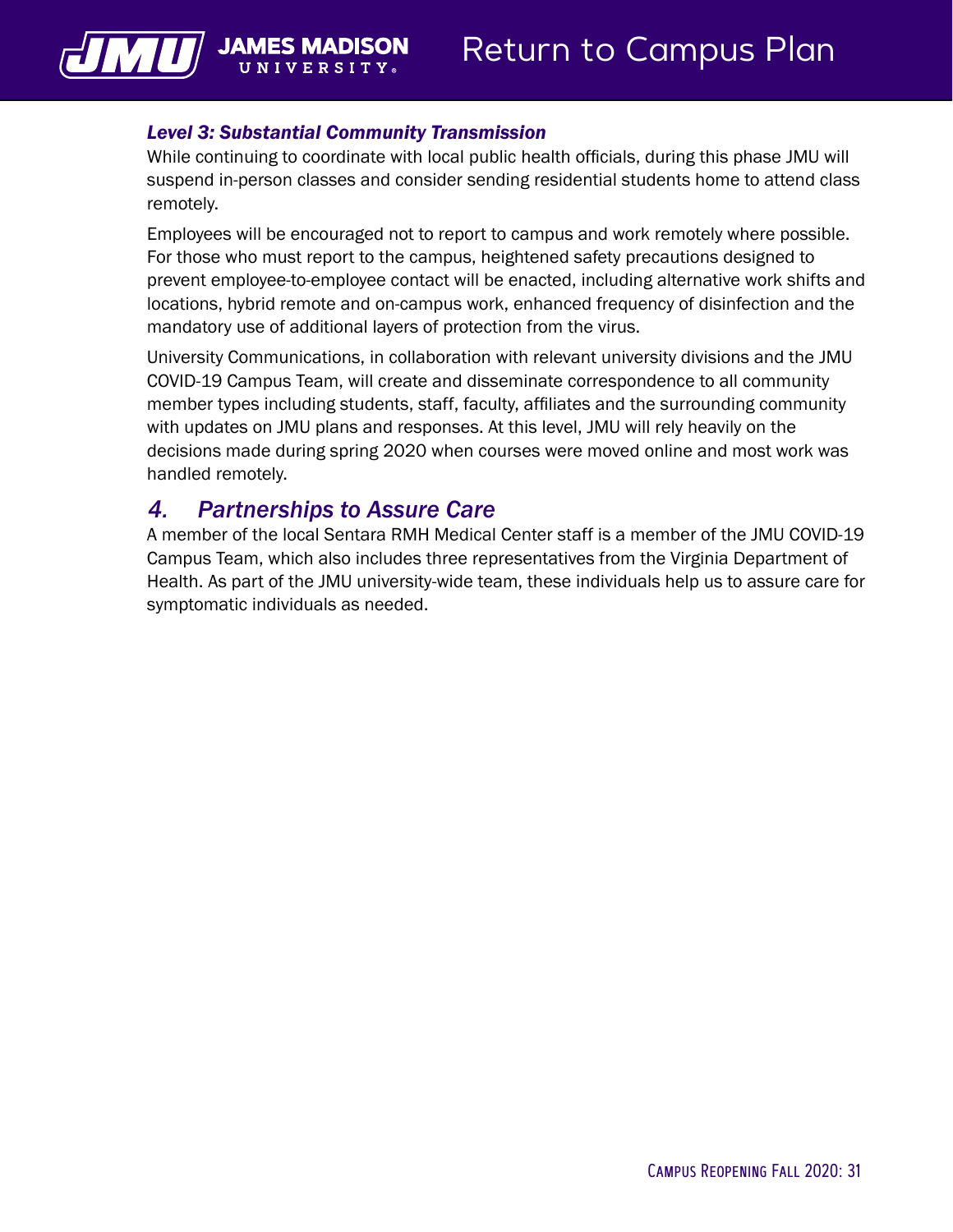#### *Level 3: Substantial Community Transmission*

**JAMES N** 

<span id="page-32-0"></span>VШ

While continuing to coordinate with local public health officials, during this phase JMU will suspend in-person classes and consider sending residential students home to attend class remotely.

Employees will be encouraged not to report to campus and work remotely where possible. For those who must report to the campus, heightened safety precautions designed to prevent employee-to-employee contact will be enacted, including alternative work shifts and locations, hybrid remote and on-campus work, enhanced frequency of disinfection and the mandatory use of additional layers of protection from the virus.

University Communications, in collaboration with relevant university divisions and the JMU COVID-19 Campus Team, will create and disseminate correspondence to all community member types including students, staff, faculty, affiliates and the surrounding community with updates on JMU plans and responses. At this level, JMU will rely heavily on the decisions made during spring 2020 when courses were moved online and most work was handled remotely.

#### *4. Partnerships to Assure Care*

A member of the local Sentara RMH Medical Center staff is a member of the JMU COVID-19 Campus Team, which also includes three representatives from the Virginia Department of Health. As part of the JMU university-wide team, these individuals help us to assure care for symptomatic individuals as needed.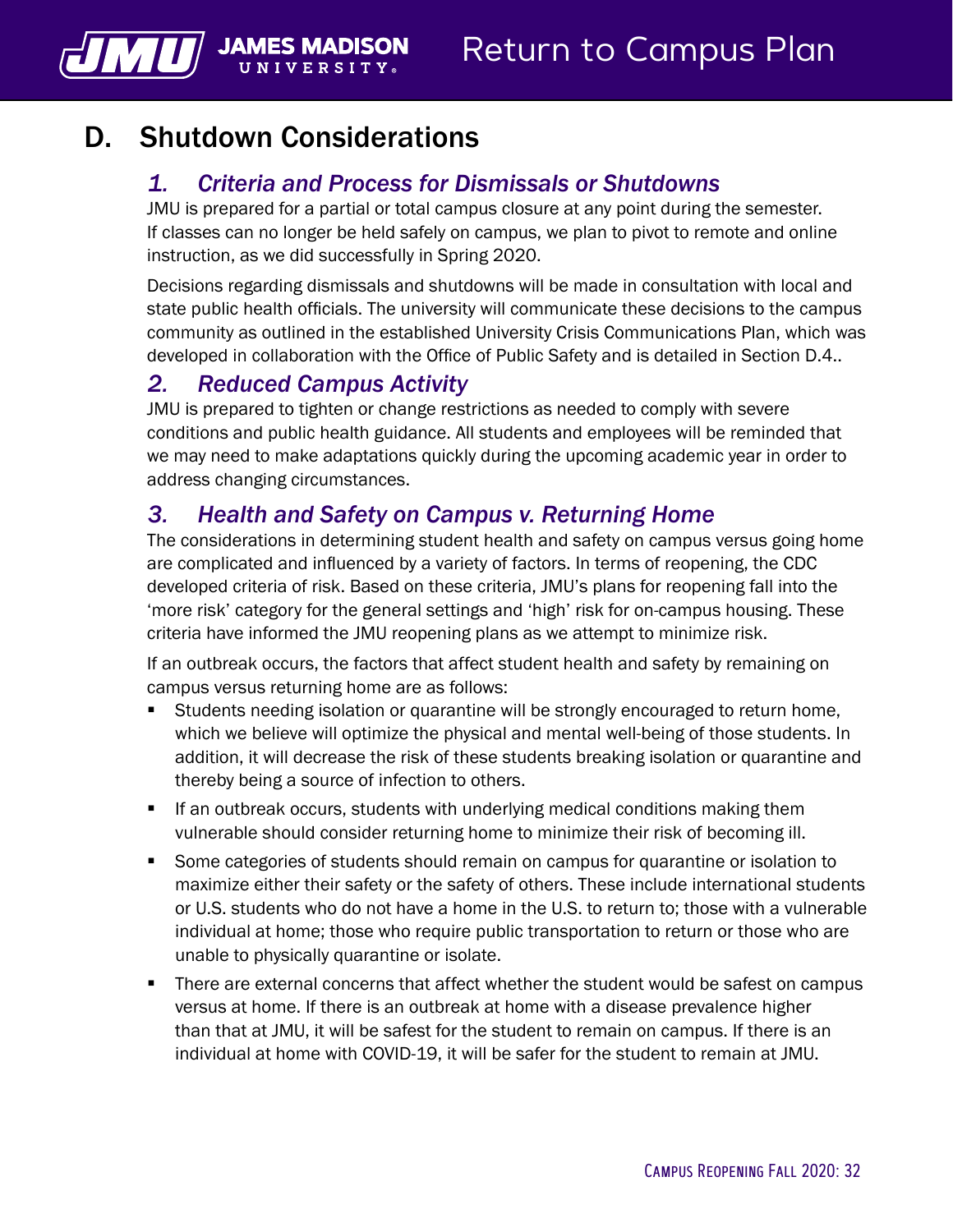## D. Shutdown Considerations

UNIVERSI

 $\boxed{\text{MU}}$  James N

## *1. Criteria and Process for Dismissals or Shutdowns*

JMU is prepared for a partial or total campus closure at any point during the semester. If classes can no longer be held safely on campus, we plan to pivot to remote and online instruction, as we did successfully in Spring 2020.

Decisions regarding dismissals and shutdowns will be made in consultation with local and state public health officials. The university will communicate these decisions to the campus community as outlined in the established University Crisis Communications Plan, which was developed in collaboration with the Office of Public Safety and is detailed in Section D.4..

#### *2. Reduced Campus Activity*

JMU is prepared to tighten or change restrictions as needed to comply with severe conditions and public health guidance. All students and employees will be reminded that we may need to make adaptations quickly during the upcoming academic year in order to address changing circumstances.

## *3. Health and Safety on Campus v. Returning Home*

The considerations in determining student health and safety on campus versus going home are complicated and influenced by a variety of factors. In terms of reopening, the CDC developed criteria of risk. Based on these criteria, JMU's plans for reopening fall into the 'more risk' category for the general settings and 'high' risk for on-campus housing. These criteria have informed the JMU reopening plans as we attempt to minimize risk.

If an outbreak occurs, the factors that affect student health and safety by remaining on campus versus returning home are as follows:

- Students needing isolation or quarantine will be strongly encouraged to return home, which we believe will optimize the physical and mental well-being of those students. In addition, it will decrease the risk of these students breaking isolation or quarantine and thereby being a source of infection to others.
- If an outbreak occurs, students with underlying medical conditions making them vulnerable should consider returning home to minimize their risk of becoming ill.
- Some categories of students should remain on campus for quarantine or isolation to maximize either their safety or the safety of others. These include international students or U.S. students who do not have a home in the U.S. to return to; those with a vulnerable individual at home; those who require public transportation to return or those who are unable to physically quarantine or isolate.
- **There are external concerns that affect whether the student would be safest on campus** versus at home. If there is an outbreak at home with a disease prevalence higher than that at JMU, it will be safest for the student to remain on campus. If there is an individual at home with COVID-19, it will be safer for the student to remain at JMU.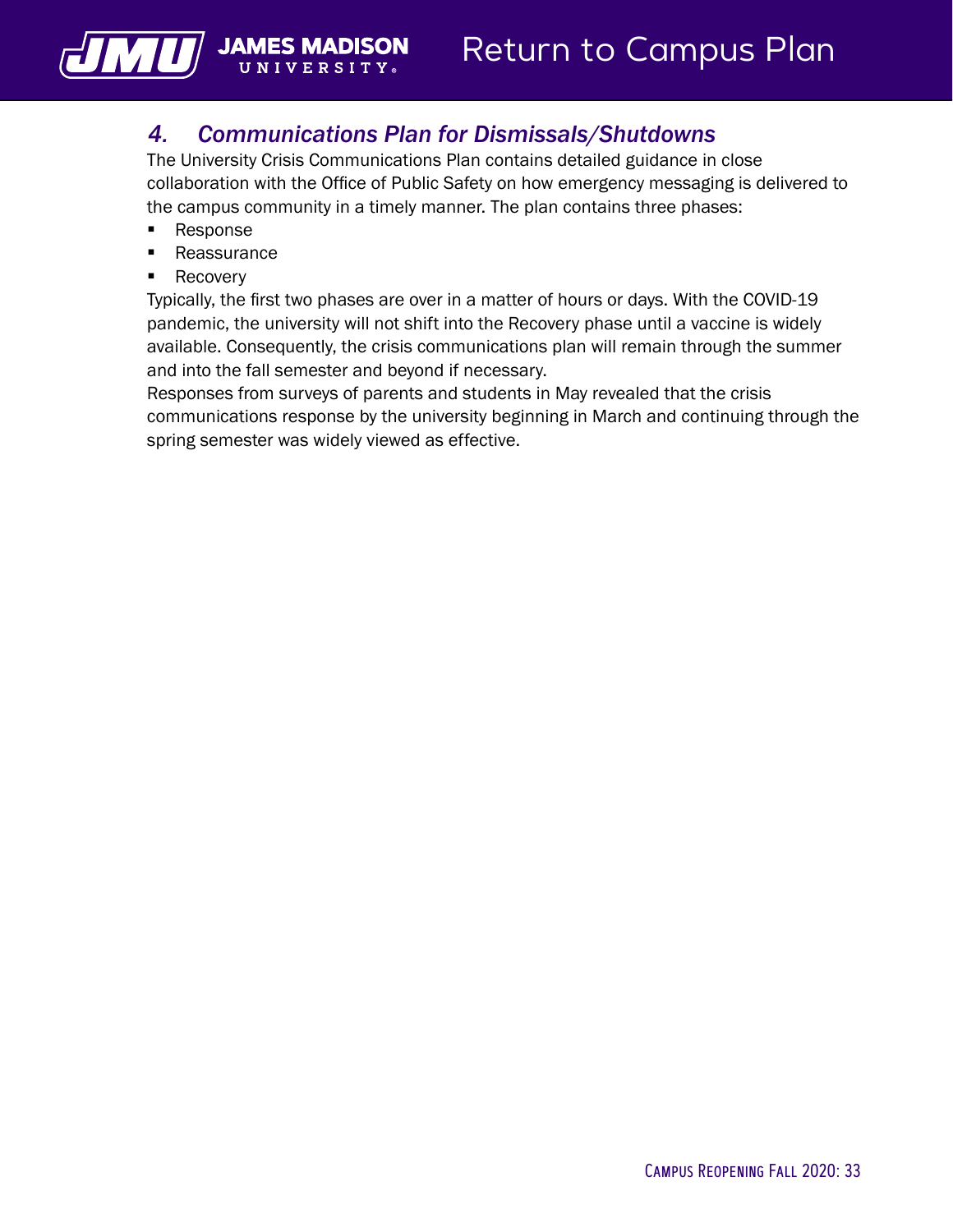

## *4. Communications Plan for Dismissals/Shutdowns*

The University Crisis Communications Plan contains detailed guidance in close collaboration with the Office of Public Safety on how emergency messaging is delivered to the campus community in a timely manner. The plan contains three phases:

**Response** 

<u>ИЦ</u>

- **Reassurance**
- **Recovery**

Typically, the first two phases are over in a matter of hours or days. With the COVID-19 pandemic, the university will not shift into the Recovery phase until a vaccine is widely available. Consequently, the crisis communications plan will remain through the summer and into the fall semester and beyond if necessary.

Responses from surveys of parents and students in May revealed that the crisis communications response by the university beginning in March and continuing through the spring semester was widely viewed as effective.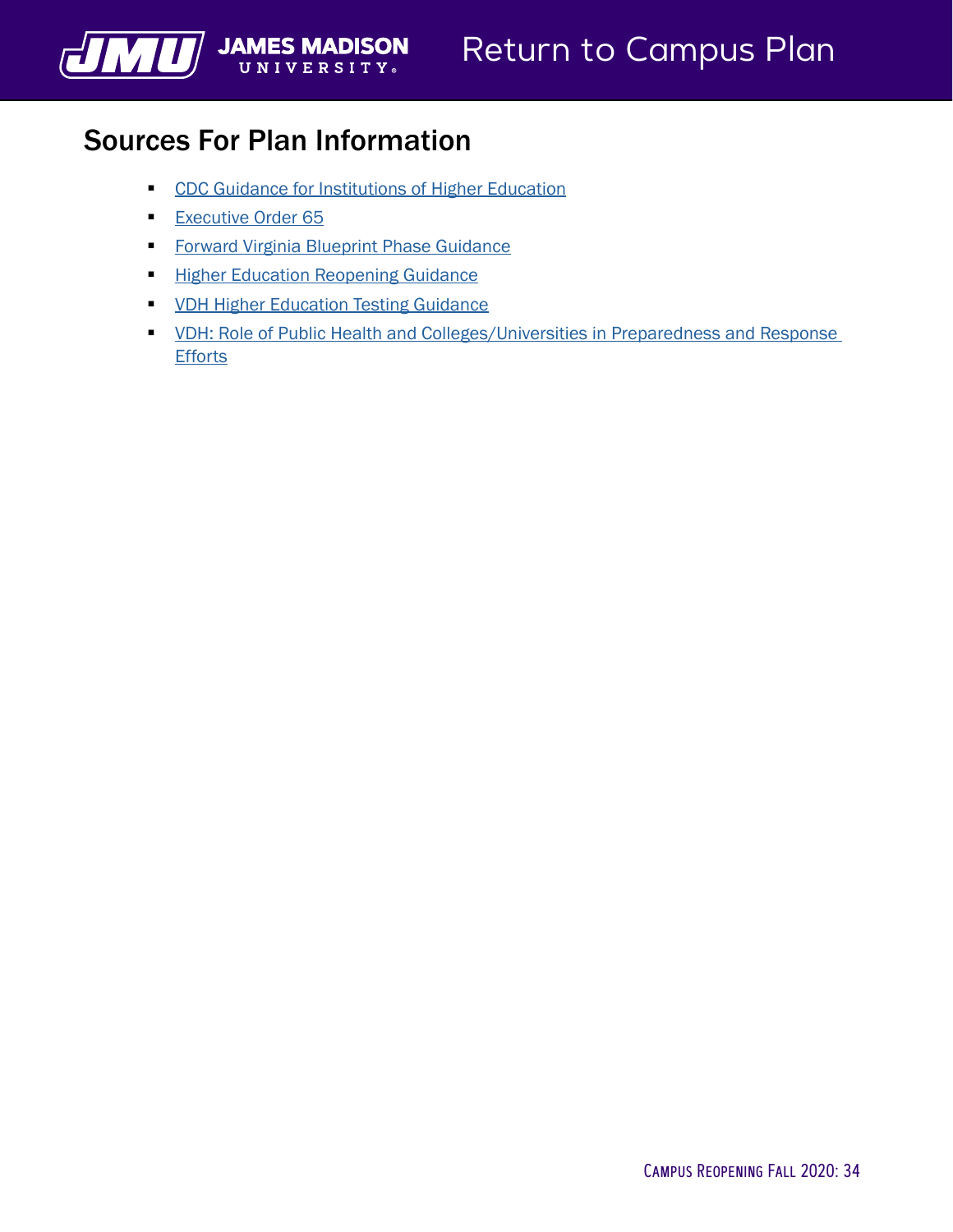## Sources For Plan Information

<span id="page-35-0"></span>WWW JAMES MADISON

- **CDC** Guidance for Institutions of Higher Education
- **[Executive Order 65](https://www.governor.virginia.gov/media/governorvirginiagov/executive-actions/EO-65-and-Order-Of-Public-Health-Emergency-Six---AMENDED---Phase-Two-Easing-of-Certain-Temporary-Restrictions-Due-to-Novel-Coronavirus-(COVID-19).pdf)**
- **[Forward Virginia Blueprint Phase Guidance](https://www.governor.virginia.gov/media/governorvirginiagov/governor-of-virginia/pdf/Virginia-Forward-Phase-Two-Guidelines.pdf)**
- **[Higher Education Reopening Guidance](https://www.governor.virginia.gov/media/governorvirginiagov/governor-of-virginia/pdf/Higher-Education-Reopening-Guidance.pdf)**
- **[VDH Higher Education Testing Guidance](https://www.cdc.gov/coronavirus/2019-ncov/community/colleges-universities/index.html)**
- **VDH: Role of Public Health and Colleges/Universities in Preparedness and Response [Efforts](https://www.vdh.virginia.gov/content/uploads/sites/182/2020/06/COVID-and-Public-Health-CollegesUniversities.pdf)**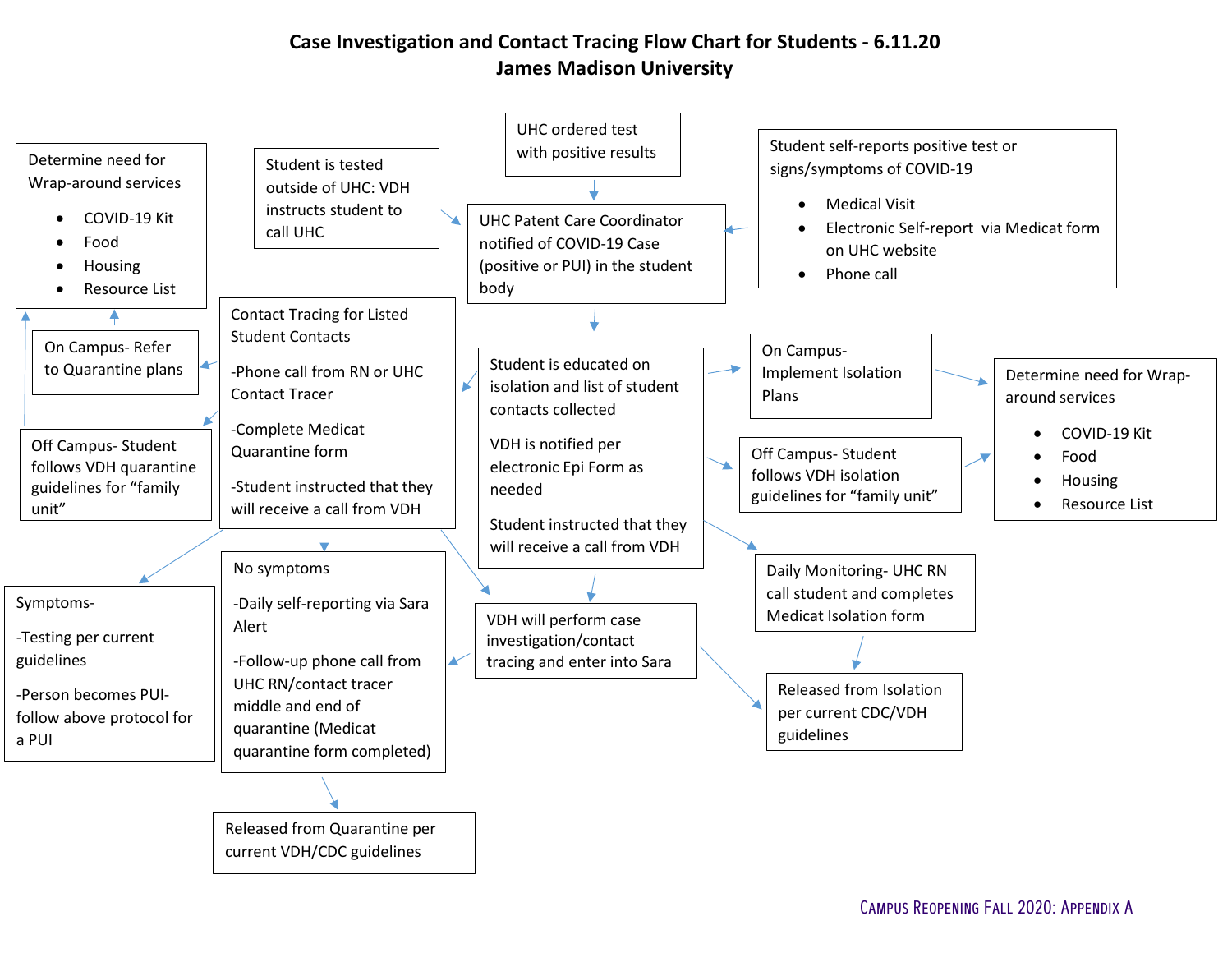#### **Case Investigation and Contact Tracing Flow Chart for Students - 6.11.20 James Madison University**

<span id="page-36-0"></span>